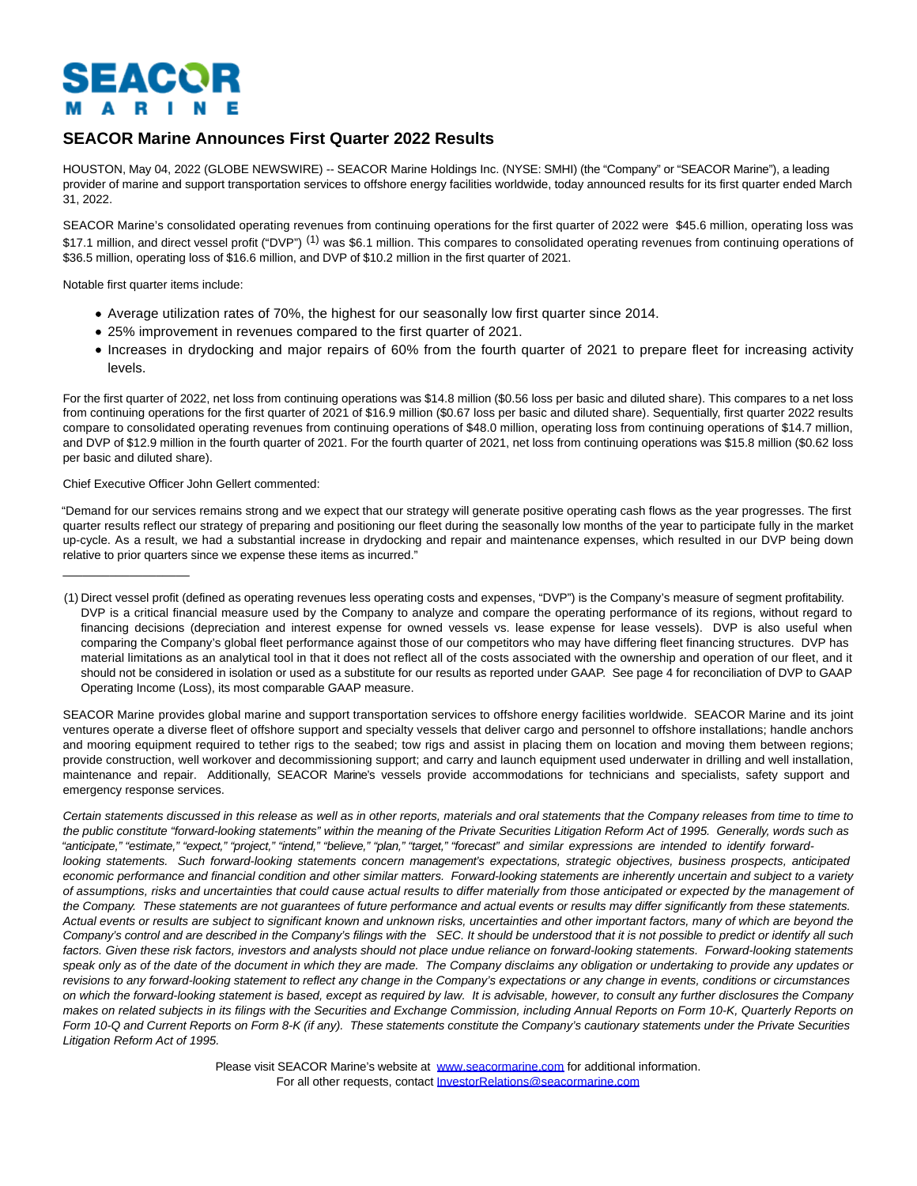# SEACOR  $\mathbf{A}$ - R

# **SEACOR Marine Announces First Quarter 2022 Results**

HOUSTON, May 04, 2022 (GLOBE NEWSWIRE) -- SEACOR Marine Holdings Inc. (NYSE: SMHI) (the "Company" or "SEACOR Marine"), a leading provider of marine and support transportation services to offshore energy facilities worldwide, today announced results for its first quarter ended March 31, 2022.

SEACOR Marine's consolidated operating revenues from continuing operations for the first quarter of 2022 were \$45.6 million, operating loss was \$17.1 million, and direct vessel profit ("DVP")<sup>(1)</sup> was \$6.1 million. This compares to consolidated operating revenues from continuing operations of \$36.5 million, operating loss of \$16.6 million, and DVP of \$10.2 million in the first quarter of 2021.

Notable first quarter items include:

- Average utilization rates of 70%, the highest for our seasonally low first quarter since 2014.
- 25% improvement in revenues compared to the first quarter of 2021.
- Increases in drydocking and major repairs of 60% from the fourth quarter of 2021 to prepare fleet for increasing activity levels.

For the first quarter of 2022, net loss from continuing operations was \$14.8 million (\$0.56 loss per basic and diluted share). This compares to a net loss from continuing operations for the first quarter of 2021 of \$16.9 million (\$0.67 loss per basic and diluted share). Sequentially, first quarter 2022 results compare to consolidated operating revenues from continuing operations of \$48.0 million, operating loss from continuing operations of \$14.7 million, and DVP of \$12.9 million in the fourth quarter of 2021. For the fourth quarter of 2021, net loss from continuing operations was \$15.8 million (\$0.62 loss per basic and diluted share).

# Chief Executive Officer John Gellert commented:

 $\frac{1}{2}$  ,  $\frac{1}{2}$  ,  $\frac{1}{2}$  ,  $\frac{1}{2}$  ,  $\frac{1}{2}$  ,  $\frac{1}{2}$  ,  $\frac{1}{2}$  ,  $\frac{1}{2}$  ,  $\frac{1}{2}$  ,  $\frac{1}{2}$  ,  $\frac{1}{2}$  ,  $\frac{1}{2}$  ,  $\frac{1}{2}$  ,  $\frac{1}{2}$  ,  $\frac{1}{2}$  ,  $\frac{1}{2}$  ,  $\frac{1}{2}$  ,  $\frac{1}{2}$  ,  $\frac{1$ 

"Demand for our services remains strong and we expect that our strategy will generate positive operating cash flows as the year progresses. The first quarter results reflect our strategy of preparing and positioning our fleet during the seasonally low months of the year to participate fully in the market up-cycle. As a result, we had a substantial increase in drydocking and repair and maintenance expenses, which resulted in our DVP being down relative to prior quarters since we expense these items as incurred."

SEACOR Marine provides global marine and support transportation services to offshore energy facilities worldwide. SEACOR Marine and its joint ventures operate a diverse fleet of offshore support and specialty vessels that deliver cargo and personnel to offshore installations; handle anchors and mooring equipment required to tether rigs to the seabed; tow rigs and assist in placing them on location and moving them between regions; provide construction, well workover and decommissioning support; and carry and launch equipment used underwater in drilling and well installation, maintenance and repair. Additionally, SEACOR Marine's vessels provide accommodations for technicians and specialists, safety support and emergency response services.

Certain statements discussed in this release as well as in other reports, materials and oral statements that the Company releases from time to time to the public constitute "forward-looking statements" within the meaning of the Private Securities Litigation Reform Act of 1995. Generally, words such as "anticipate," "estimate," "expect," "project," "intend," "believe," "plan," "target," "forecast" and similar expressions are intended to identify forwardlooking statements. Such forward-looking statements concern management's expectations, strategic objectives, business prospects, anticipated economic performance and financial condition and other similar matters. Forward-looking statements are inherently uncertain and subject to a variety of assumptions, risks and uncertainties that could cause actual results to differ materially from those anticipated or expected by the management of the Company. These statements are not guarantees of future performance and actual events or results may differ significantly from these statements. Actual events or results are subject to significant known and unknown risks, uncertainties and other important factors, many of which are beyond the Company's control and are described in the Company's filings with the SEC. It should be understood that it is not possible to predict or identify all such factors. Given these risk factors, investors and analysts should not place undue reliance on forward-looking statements. Forward-looking statements speak only as of the date of the document in which they are made. The Company disclaims any obligation or undertaking to provide any updates or revisions to any forward-looking statement to reflect any change in the Company's expectations or any change in events, conditions or circumstances on which the forward-looking statement is based, except as required by law. It is advisable, however, to consult any further disclosures the Company makes on related subjects in its filings with the Securities and Exchange Commission, including Annual Reports on Form 10-K, Quarterly Reports on Form 10-Q and Current Reports on Form 8-K (if any). These statements constitute the Company's cautionary statements under the Private Securities Litigation Reform Act of 1995.

> Please visit SEACOR Marine's website at [www.seacormarine.com f](http://www.seacormarine.com/)or additional information. For all other requests, contact [InvestorRelations@seacormarine.com](https://www.globenewswire.com/Tracker?data=jaR77Nv6aFRmWSRydaKHT4vbYF6GluMDIaKr9cRoyKIdiZyh8bDy_reds9TYfV_qCfo2ZVuPHziNeorssPyjwIwvvczDg-_VcNVcCQuBtpIkz8heo4dYQam_SkF9SfqEQKXeM7CFAT-5AIitoXUGsA==)

<sup>(1)</sup> Direct vessel profit (defined as operating revenues less operating costs and expenses, "DVP") is the Company's measure of segment profitability. DVP is a critical financial measure used by the Company to analyze and compare the operating performance of its regions, without regard to financing decisions (depreciation and interest expense for owned vessels vs. lease expense for lease vessels). DVP is also useful when comparing the Company's global fleet performance against those of our competitors who may have differing fleet financing structures. DVP has material limitations as an analytical tool in that it does not reflect all of the costs associated with the ownership and operation of our fleet, and it should not be considered in isolation or used as a substitute for our results as reported under GAAP. See page 4 for reconciliation of DVP to GAAP Operating Income (Loss), its most comparable GAAP measure.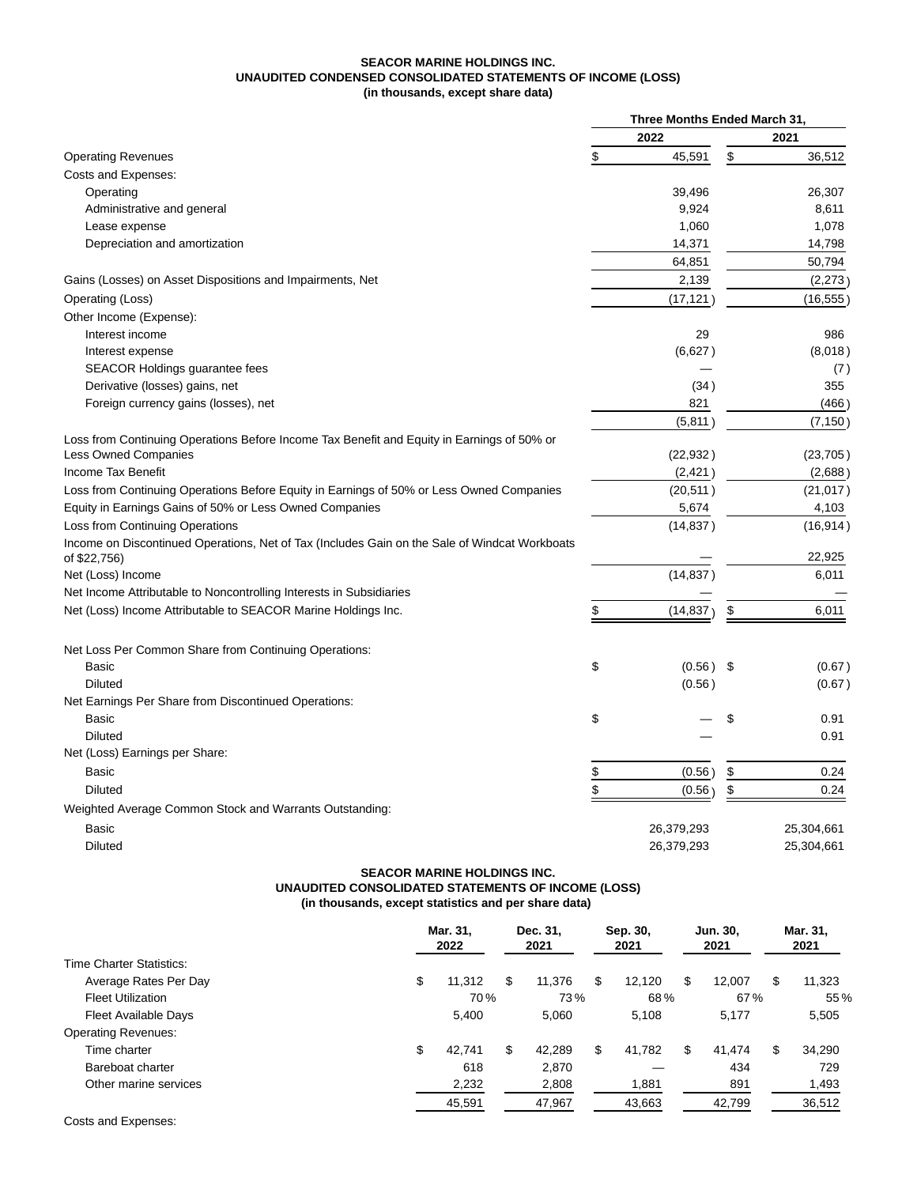### **SEACOR MARINE HOLDINGS INC. UNAUDITED CONDENSED CONSOLIDATED STATEMENTS OF INCOME (LOSS) (in thousands, except share data)**

| 2022<br>2021<br>\$<br>\$<br><b>Operating Revenues</b><br>45,591<br>36,512<br>Costs and Expenses:<br>39,496<br>26,307<br>Operating<br>Administrative and general<br>9,924<br>8,611<br>1,078<br>1,060<br>Lease expense<br>Depreciation and amortization<br>14,371<br>14,798<br>50,794<br>64,851<br>Gains (Losses) on Asset Dispositions and Impairments, Net<br>2,139<br>Operating (Loss)<br>(17, 121)<br>Other Income (Expense):<br>29<br>Interest income<br>986<br>(6,627)<br>Interest expense<br><b>SEACOR Holdings guarantee fees</b><br>355<br>Derivative (losses) gains, net<br>(34)<br>Foreign currency gains (losses), net<br>821<br>(5,811)<br>Loss from Continuing Operations Before Income Tax Benefit and Equity in Earnings of 50% or<br><b>Less Owned Companies</b><br>(22, 932)<br>Income Tax Benefit<br>(2, 421)<br>Loss from Continuing Operations Before Equity in Earnings of 50% or Less Owned Companies<br>(20, 511)<br>Equity in Earnings Gains of 50% or Less Owned Companies<br>5,674<br>4,103<br>Loss from Continuing Operations<br>(14, 837)<br>Income on Discontinued Operations, Net of Tax (Includes Gain on the Sale of Windcat Workboats<br>22,925<br>of \$22,756)<br>6,011<br>Net (Loss) Income<br>(14, 837)<br>Net Income Attributable to Noncontrolling Interests in Subsidiaries<br>Net (Loss) Income Attributable to SEACOR Marine Holdings Inc.<br>\$<br>(14, 837)<br>6,011<br>\$<br>Net Loss Per Common Share from Continuing Operations:<br>\$<br>Basic<br>$(0.56)$ \$<br><b>Diluted</b><br>(0.56)<br>Net Earnings Per Share from Discontinued Operations:<br>\$<br>\$<br>0.91<br>Basic<br><b>Diluted</b><br>0.91<br>Net (Loss) Earnings per Share:<br><b>Basic</b><br>$\frac{1}{2}$<br>0.24<br>(0.56)<br>\$<br>\$<br>\$<br>0.24<br><b>Diluted</b><br>(0.56)<br>Weighted Average Common Stock and Warrants Outstanding:<br><b>Basic</b><br>26,379,293<br>25,304,661<br>26,379,293<br><b>Diluted</b><br>25,304,661 |  | Three Months Ended March 31, |  |
|--------------------------------------------------------------------------------------------------------------------------------------------------------------------------------------------------------------------------------------------------------------------------------------------------------------------------------------------------------------------------------------------------------------------------------------------------------------------------------------------------------------------------------------------------------------------------------------------------------------------------------------------------------------------------------------------------------------------------------------------------------------------------------------------------------------------------------------------------------------------------------------------------------------------------------------------------------------------------------------------------------------------------------------------------------------------------------------------------------------------------------------------------------------------------------------------------------------------------------------------------------------------------------------------------------------------------------------------------------------------------------------------------------------------------------------------------------------------------------------------------------------------------------------------------------------------------------------------------------------------------------------------------------------------------------------------------------------------------------------------------------------------------------------------------------------------------------------------------------------------------------------------------------------------------------------------------------|--|------------------------------|--|
| (16, 555)                                                                                                                                                                                                                                                                                                                                                                                                                                                                                                                                                                                                                                                                                                                                                                                                                                                                                                                                                                                                                                                                                                                                                                                                                                                                                                                                                                                                                                                                                                                                                                                                                                                                                                                                                                                                                                                                                                                                              |  |                              |  |
|                                                                                                                                                                                                                                                                                                                                                                                                                                                                                                                                                                                                                                                                                                                                                                                                                                                                                                                                                                                                                                                                                                                                                                                                                                                                                                                                                                                                                                                                                                                                                                                                                                                                                                                                                                                                                                                                                                                                                        |  |                              |  |
| (2,273)<br>(8,018)<br>(7)<br>(466)<br>(7, 150)<br>(23, 705)<br>(2,688)<br>(21, 017)<br>(16, 914)                                                                                                                                                                                                                                                                                                                                                                                                                                                                                                                                                                                                                                                                                                                                                                                                                                                                                                                                                                                                                                                                                                                                                                                                                                                                                                                                                                                                                                                                                                                                                                                                                                                                                                                                                                                                                                                       |  |                              |  |
|                                                                                                                                                                                                                                                                                                                                                                                                                                                                                                                                                                                                                                                                                                                                                                                                                                                                                                                                                                                                                                                                                                                                                                                                                                                                                                                                                                                                                                                                                                                                                                                                                                                                                                                                                                                                                                                                                                                                                        |  |                              |  |
|                                                                                                                                                                                                                                                                                                                                                                                                                                                                                                                                                                                                                                                                                                                                                                                                                                                                                                                                                                                                                                                                                                                                                                                                                                                                                                                                                                                                                                                                                                                                                                                                                                                                                                                                                                                                                                                                                                                                                        |  |                              |  |
|                                                                                                                                                                                                                                                                                                                                                                                                                                                                                                                                                                                                                                                                                                                                                                                                                                                                                                                                                                                                                                                                                                                                                                                                                                                                                                                                                                                                                                                                                                                                                                                                                                                                                                                                                                                                                                                                                                                                                        |  |                              |  |
|                                                                                                                                                                                                                                                                                                                                                                                                                                                                                                                                                                                                                                                                                                                                                                                                                                                                                                                                                                                                                                                                                                                                                                                                                                                                                                                                                                                                                                                                                                                                                                                                                                                                                                                                                                                                                                                                                                                                                        |  |                              |  |
|                                                                                                                                                                                                                                                                                                                                                                                                                                                                                                                                                                                                                                                                                                                                                                                                                                                                                                                                                                                                                                                                                                                                                                                                                                                                                                                                                                                                                                                                                                                                                                                                                                                                                                                                                                                                                                                                                                                                                        |  |                              |  |
|                                                                                                                                                                                                                                                                                                                                                                                                                                                                                                                                                                                                                                                                                                                                                                                                                                                                                                                                                                                                                                                                                                                                                                                                                                                                                                                                                                                                                                                                                                                                                                                                                                                                                                                                                                                                                                                                                                                                                        |  |                              |  |
|                                                                                                                                                                                                                                                                                                                                                                                                                                                                                                                                                                                                                                                                                                                                                                                                                                                                                                                                                                                                                                                                                                                                                                                                                                                                                                                                                                                                                                                                                                                                                                                                                                                                                                                                                                                                                                                                                                                                                        |  |                              |  |
|                                                                                                                                                                                                                                                                                                                                                                                                                                                                                                                                                                                                                                                                                                                                                                                                                                                                                                                                                                                                                                                                                                                                                                                                                                                                                                                                                                                                                                                                                                                                                                                                                                                                                                                                                                                                                                                                                                                                                        |  |                              |  |
|                                                                                                                                                                                                                                                                                                                                                                                                                                                                                                                                                                                                                                                                                                                                                                                                                                                                                                                                                                                                                                                                                                                                                                                                                                                                                                                                                                                                                                                                                                                                                                                                                                                                                                                                                                                                                                                                                                                                                        |  |                              |  |
|                                                                                                                                                                                                                                                                                                                                                                                                                                                                                                                                                                                                                                                                                                                                                                                                                                                                                                                                                                                                                                                                                                                                                                                                                                                                                                                                                                                                                                                                                                                                                                                                                                                                                                                                                                                                                                                                                                                                                        |  |                              |  |
|                                                                                                                                                                                                                                                                                                                                                                                                                                                                                                                                                                                                                                                                                                                                                                                                                                                                                                                                                                                                                                                                                                                                                                                                                                                                                                                                                                                                                                                                                                                                                                                                                                                                                                                                                                                                                                                                                                                                                        |  |                              |  |
|                                                                                                                                                                                                                                                                                                                                                                                                                                                                                                                                                                                                                                                                                                                                                                                                                                                                                                                                                                                                                                                                                                                                                                                                                                                                                                                                                                                                                                                                                                                                                                                                                                                                                                                                                                                                                                                                                                                                                        |  |                              |  |
|                                                                                                                                                                                                                                                                                                                                                                                                                                                                                                                                                                                                                                                                                                                                                                                                                                                                                                                                                                                                                                                                                                                                                                                                                                                                                                                                                                                                                                                                                                                                                                                                                                                                                                                                                                                                                                                                                                                                                        |  |                              |  |
|                                                                                                                                                                                                                                                                                                                                                                                                                                                                                                                                                                                                                                                                                                                                                                                                                                                                                                                                                                                                                                                                                                                                                                                                                                                                                                                                                                                                                                                                                                                                                                                                                                                                                                                                                                                                                                                                                                                                                        |  |                              |  |
|                                                                                                                                                                                                                                                                                                                                                                                                                                                                                                                                                                                                                                                                                                                                                                                                                                                                                                                                                                                                                                                                                                                                                                                                                                                                                                                                                                                                                                                                                                                                                                                                                                                                                                                                                                                                                                                                                                                                                        |  |                              |  |
|                                                                                                                                                                                                                                                                                                                                                                                                                                                                                                                                                                                                                                                                                                                                                                                                                                                                                                                                                                                                                                                                                                                                                                                                                                                                                                                                                                                                                                                                                                                                                                                                                                                                                                                                                                                                                                                                                                                                                        |  |                              |  |
|                                                                                                                                                                                                                                                                                                                                                                                                                                                                                                                                                                                                                                                                                                                                                                                                                                                                                                                                                                                                                                                                                                                                                                                                                                                                                                                                                                                                                                                                                                                                                                                                                                                                                                                                                                                                                                                                                                                                                        |  |                              |  |
|                                                                                                                                                                                                                                                                                                                                                                                                                                                                                                                                                                                                                                                                                                                                                                                                                                                                                                                                                                                                                                                                                                                                                                                                                                                                                                                                                                                                                                                                                                                                                                                                                                                                                                                                                                                                                                                                                                                                                        |  |                              |  |
|                                                                                                                                                                                                                                                                                                                                                                                                                                                                                                                                                                                                                                                                                                                                                                                                                                                                                                                                                                                                                                                                                                                                                                                                                                                                                                                                                                                                                                                                                                                                                                                                                                                                                                                                                                                                                                                                                                                                                        |  |                              |  |
|                                                                                                                                                                                                                                                                                                                                                                                                                                                                                                                                                                                                                                                                                                                                                                                                                                                                                                                                                                                                                                                                                                                                                                                                                                                                                                                                                                                                                                                                                                                                                                                                                                                                                                                                                                                                                                                                                                                                                        |  |                              |  |
|                                                                                                                                                                                                                                                                                                                                                                                                                                                                                                                                                                                                                                                                                                                                                                                                                                                                                                                                                                                                                                                                                                                                                                                                                                                                                                                                                                                                                                                                                                                                                                                                                                                                                                                                                                                                                                                                                                                                                        |  |                              |  |
|                                                                                                                                                                                                                                                                                                                                                                                                                                                                                                                                                                                                                                                                                                                                                                                                                                                                                                                                                                                                                                                                                                                                                                                                                                                                                                                                                                                                                                                                                                                                                                                                                                                                                                                                                                                                                                                                                                                                                        |  |                              |  |
|                                                                                                                                                                                                                                                                                                                                                                                                                                                                                                                                                                                                                                                                                                                                                                                                                                                                                                                                                                                                                                                                                                                                                                                                                                                                                                                                                                                                                                                                                                                                                                                                                                                                                                                                                                                                                                                                                                                                                        |  |                              |  |
| (0.67)<br>(0.67)                                                                                                                                                                                                                                                                                                                                                                                                                                                                                                                                                                                                                                                                                                                                                                                                                                                                                                                                                                                                                                                                                                                                                                                                                                                                                                                                                                                                                                                                                                                                                                                                                                                                                                                                                                                                                                                                                                                                       |  |                              |  |
|                                                                                                                                                                                                                                                                                                                                                                                                                                                                                                                                                                                                                                                                                                                                                                                                                                                                                                                                                                                                                                                                                                                                                                                                                                                                                                                                                                                                                                                                                                                                                                                                                                                                                                                                                                                                                                                                                                                                                        |  |                              |  |
|                                                                                                                                                                                                                                                                                                                                                                                                                                                                                                                                                                                                                                                                                                                                                                                                                                                                                                                                                                                                                                                                                                                                                                                                                                                                                                                                                                                                                                                                                                                                                                                                                                                                                                                                                                                                                                                                                                                                                        |  |                              |  |
|                                                                                                                                                                                                                                                                                                                                                                                                                                                                                                                                                                                                                                                                                                                                                                                                                                                                                                                                                                                                                                                                                                                                                                                                                                                                                                                                                                                                                                                                                                                                                                                                                                                                                                                                                                                                                                                                                                                                                        |  |                              |  |
|                                                                                                                                                                                                                                                                                                                                                                                                                                                                                                                                                                                                                                                                                                                                                                                                                                                                                                                                                                                                                                                                                                                                                                                                                                                                                                                                                                                                                                                                                                                                                                                                                                                                                                                                                                                                                                                                                                                                                        |  |                              |  |
|                                                                                                                                                                                                                                                                                                                                                                                                                                                                                                                                                                                                                                                                                                                                                                                                                                                                                                                                                                                                                                                                                                                                                                                                                                                                                                                                                                                                                                                                                                                                                                                                                                                                                                                                                                                                                                                                                                                                                        |  |                              |  |
|                                                                                                                                                                                                                                                                                                                                                                                                                                                                                                                                                                                                                                                                                                                                                                                                                                                                                                                                                                                                                                                                                                                                                                                                                                                                                                                                                                                                                                                                                                                                                                                                                                                                                                                                                                                                                                                                                                                                                        |  |                              |  |
|                                                                                                                                                                                                                                                                                                                                                                                                                                                                                                                                                                                                                                                                                                                                                                                                                                                                                                                                                                                                                                                                                                                                                                                                                                                                                                                                                                                                                                                                                                                                                                                                                                                                                                                                                                                                                                                                                                                                                        |  |                              |  |
|                                                                                                                                                                                                                                                                                                                                                                                                                                                                                                                                                                                                                                                                                                                                                                                                                                                                                                                                                                                                                                                                                                                                                                                                                                                                                                                                                                                                                                                                                                                                                                                                                                                                                                                                                                                                                                                                                                                                                        |  |                              |  |
|                                                                                                                                                                                                                                                                                                                                                                                                                                                                                                                                                                                                                                                                                                                                                                                                                                                                                                                                                                                                                                                                                                                                                                                                                                                                                                                                                                                                                                                                                                                                                                                                                                                                                                                                                                                                                                                                                                                                                        |  |                              |  |
|                                                                                                                                                                                                                                                                                                                                                                                                                                                                                                                                                                                                                                                                                                                                                                                                                                                                                                                                                                                                                                                                                                                                                                                                                                                                                                                                                                                                                                                                                                                                                                                                                                                                                                                                                                                                                                                                                                                                                        |  |                              |  |
|                                                                                                                                                                                                                                                                                                                                                                                                                                                                                                                                                                                                                                                                                                                                                                                                                                                                                                                                                                                                                                                                                                                                                                                                                                                                                                                                                                                                                                                                                                                                                                                                                                                                                                                                                                                                                                                                                                                                                        |  |                              |  |
|                                                                                                                                                                                                                                                                                                                                                                                                                                                                                                                                                                                                                                                                                                                                                                                                                                                                                                                                                                                                                                                                                                                                                                                                                                                                                                                                                                                                                                                                                                                                                                                                                                                                                                                                                                                                                                                                                                                                                        |  |                              |  |

# **SEACOR MARINE HOLDINGS INC. UNAUDITED CONSOLIDATED STATEMENTS OF INCOME (LOSS) (in thousands, except statistics and per share data)**

|                             | Mar. 31.<br>2022 | Dec. 31,<br>2021 | Sep. 30,<br>2021 |    | Jun. 30,<br>2021 | Mar. 31,<br>2021 |        |
|-----------------------------|------------------|------------------|------------------|----|------------------|------------------|--------|
| Time Charter Statistics:    |                  |                  |                  |    |                  |                  |        |
| Average Rates Per Day       | \$<br>11,312     | \$<br>11,376     | \$<br>12,120     | S  | 12,007           | S                | 11,323 |
| <b>Fleet Utilization</b>    | 70%              | 73%              | 68%              |    | 67%              |                  | 55%    |
| <b>Fleet Available Days</b> | 5.400            | 5.060            | 5,108            |    | 5.177            |                  | 5,505  |
| <b>Operating Revenues:</b>  |                  |                  |                  |    |                  |                  |        |
| Time charter                | \$<br>42.741     | \$<br>42.289     | \$<br>41.782     | \$ | 41.474           | S                | 34,290 |
| Bareboat charter            | 618              | 2,870            |                  |    | 434              |                  | 729    |
| Other marine services       | 2,232            | 2,808            | 1,881            |    | 891              |                  | 1,493  |
|                             | 45,591           | 47,967           | 43,663           |    | 42,799           |                  | 36,512 |
|                             |                  |                  |                  |    |                  |                  |        |

Costs and Expenses: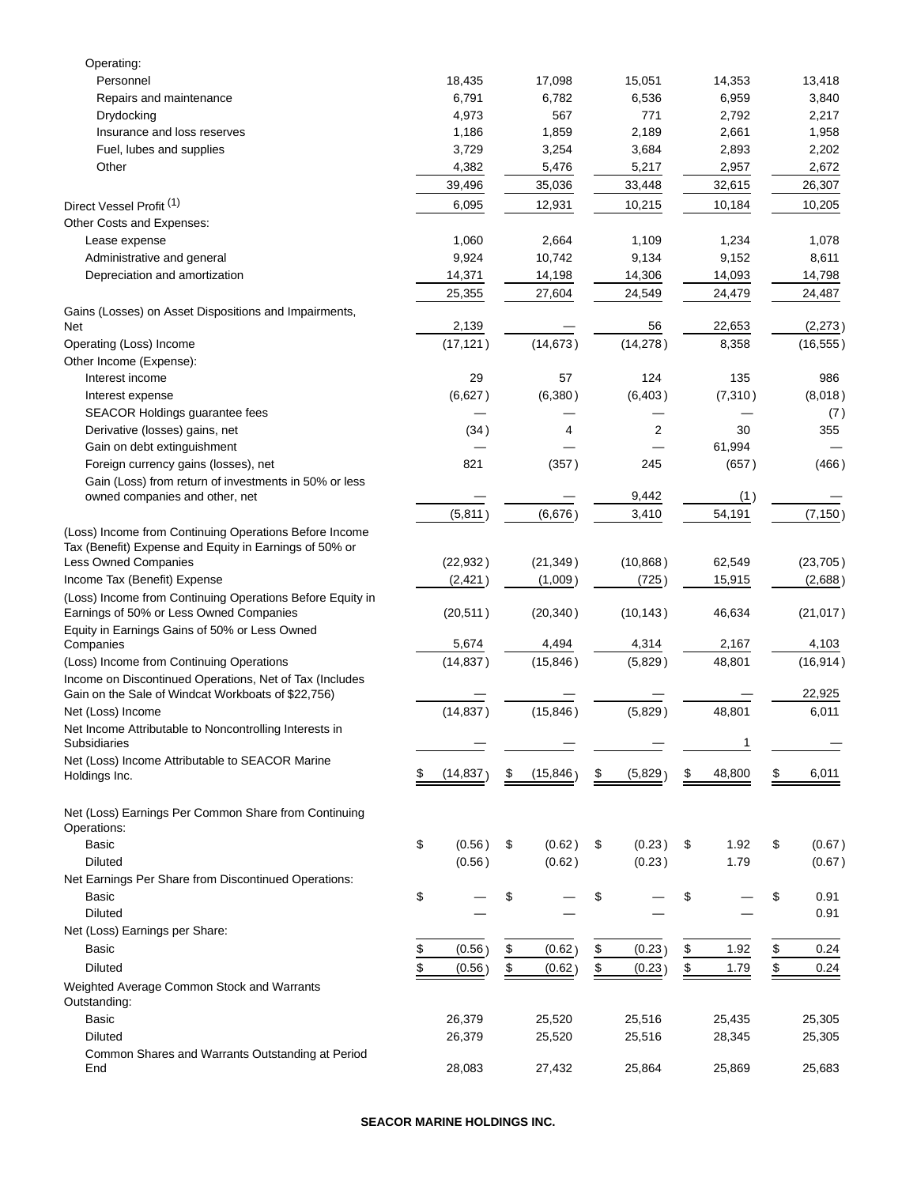| 18,435                                |                                                                                                                                                                                                 | 17,098                                |                                                                                                                                                                                      | 15,051                                |                                                                                                                                                                                              | 14,353                                           |                                                                                                                                                                                            | 13,418                                                      |
|---------------------------------------|-------------------------------------------------------------------------------------------------------------------------------------------------------------------------------------------------|---------------------------------------|--------------------------------------------------------------------------------------------------------------------------------------------------------------------------------------|---------------------------------------|----------------------------------------------------------------------------------------------------------------------------------------------------------------------------------------------|--------------------------------------------------|--------------------------------------------------------------------------------------------------------------------------------------------------------------------------------------------|-------------------------------------------------------------|
| 6,791                                 |                                                                                                                                                                                                 | 6,782                                 |                                                                                                                                                                                      | 6,536                                 |                                                                                                                                                                                              | 6,959                                            |                                                                                                                                                                                            | 3,840                                                       |
| 4,973                                 |                                                                                                                                                                                                 | 567                                   |                                                                                                                                                                                      | 771                                   |                                                                                                                                                                                              | 2,792                                            |                                                                                                                                                                                            | 2,217                                                       |
| 1,186                                 |                                                                                                                                                                                                 | 1,859                                 |                                                                                                                                                                                      | 2,189                                 |                                                                                                                                                                                              | 2,661                                            |                                                                                                                                                                                            | 1,958                                                       |
| 3,729                                 |                                                                                                                                                                                                 | 3,254                                 |                                                                                                                                                                                      | 3,684                                 |                                                                                                                                                                                              | 2,893                                            |                                                                                                                                                                                            | 2,202                                                       |
| 4,382                                 |                                                                                                                                                                                                 | 5,476                                 |                                                                                                                                                                                      | 5,217                                 |                                                                                                                                                                                              | 2,957                                            |                                                                                                                                                                                            | 2,672                                                       |
| 39,496                                |                                                                                                                                                                                                 | 35,036                                |                                                                                                                                                                                      | 33,448                                |                                                                                                                                                                                              | 32,615                                           |                                                                                                                                                                                            | 26,307                                                      |
| 6,095                                 |                                                                                                                                                                                                 | 12,931                                |                                                                                                                                                                                      | 10,215                                |                                                                                                                                                                                              | 10,184                                           |                                                                                                                                                                                            | 10,205                                                      |
|                                       |                                                                                                                                                                                                 |                                       |                                                                                                                                                                                      |                                       |                                                                                                                                                                                              |                                                  |                                                                                                                                                                                            |                                                             |
|                                       |                                                                                                                                                                                                 |                                       |                                                                                                                                                                                      |                                       |                                                                                                                                                                                              |                                                  |                                                                                                                                                                                            | 1,078                                                       |
|                                       |                                                                                                                                                                                                 |                                       |                                                                                                                                                                                      |                                       |                                                                                                                                                                                              |                                                  |                                                                                                                                                                                            | 8,611                                                       |
|                                       |                                                                                                                                                                                                 |                                       |                                                                                                                                                                                      |                                       |                                                                                                                                                                                              |                                                  |                                                                                                                                                                                            | 14,798                                                      |
|                                       |                                                                                                                                                                                                 |                                       |                                                                                                                                                                                      |                                       |                                                                                                                                                                                              |                                                  |                                                                                                                                                                                            | 24,487                                                      |
|                                       |                                                                                                                                                                                                 |                                       |                                                                                                                                                                                      |                                       |                                                                                                                                                                                              |                                                  |                                                                                                                                                                                            | (2, 273)                                                    |
|                                       |                                                                                                                                                                                                 |                                       |                                                                                                                                                                                      |                                       |                                                                                                                                                                                              |                                                  |                                                                                                                                                                                            | (16, 555)                                                   |
|                                       |                                                                                                                                                                                                 |                                       |                                                                                                                                                                                      |                                       |                                                                                                                                                                                              |                                                  |                                                                                                                                                                                            |                                                             |
|                                       |                                                                                                                                                                                                 |                                       |                                                                                                                                                                                      |                                       |                                                                                                                                                                                              |                                                  |                                                                                                                                                                                            | 986                                                         |
|                                       |                                                                                                                                                                                                 |                                       |                                                                                                                                                                                      |                                       |                                                                                                                                                                                              |                                                  |                                                                                                                                                                                            | (8,018)                                                     |
|                                       |                                                                                                                                                                                                 |                                       |                                                                                                                                                                                      |                                       |                                                                                                                                                                                              |                                                  |                                                                                                                                                                                            |                                                             |
|                                       |                                                                                                                                                                                                 |                                       |                                                                                                                                                                                      |                                       |                                                                                                                                                                                              |                                                  |                                                                                                                                                                                            | (7)<br>355                                                  |
|                                       |                                                                                                                                                                                                 |                                       |                                                                                                                                                                                      |                                       |                                                                                                                                                                                              |                                                  |                                                                                                                                                                                            |                                                             |
|                                       |                                                                                                                                                                                                 |                                       |                                                                                                                                                                                      |                                       |                                                                                                                                                                                              |                                                  |                                                                                                                                                                                            |                                                             |
|                                       |                                                                                                                                                                                                 |                                       |                                                                                                                                                                                      |                                       |                                                                                                                                                                                              |                                                  |                                                                                                                                                                                            | (466)                                                       |
|                                       |                                                                                                                                                                                                 |                                       |                                                                                                                                                                                      |                                       |                                                                                                                                                                                              |                                                  |                                                                                                                                                                                            |                                                             |
|                                       |                                                                                                                                                                                                 |                                       |                                                                                                                                                                                      |                                       |                                                                                                                                                                                              |                                                  |                                                                                                                                                                                            | (7, 150)                                                    |
|                                       |                                                                                                                                                                                                 |                                       |                                                                                                                                                                                      |                                       |                                                                                                                                                                                              |                                                  |                                                                                                                                                                                            |                                                             |
|                                       |                                                                                                                                                                                                 |                                       |                                                                                                                                                                                      |                                       |                                                                                                                                                                                              |                                                  |                                                                                                                                                                                            |                                                             |
|                                       |                                                                                                                                                                                                 |                                       |                                                                                                                                                                                      |                                       |                                                                                                                                                                                              |                                                  |                                                                                                                                                                                            | (23, 705)                                                   |
|                                       |                                                                                                                                                                                                 |                                       |                                                                                                                                                                                      |                                       |                                                                                                                                                                                              |                                                  |                                                                                                                                                                                            | (2,688)                                                     |
|                                       |                                                                                                                                                                                                 |                                       |                                                                                                                                                                                      |                                       |                                                                                                                                                                                              |                                                  |                                                                                                                                                                                            |                                                             |
|                                       |                                                                                                                                                                                                 |                                       |                                                                                                                                                                                      |                                       |                                                                                                                                                                                              |                                                  |                                                                                                                                                                                            | (21, 017)                                                   |
|                                       |                                                                                                                                                                                                 |                                       |                                                                                                                                                                                      |                                       |                                                                                                                                                                                              |                                                  |                                                                                                                                                                                            |                                                             |
| 5,674                                 |                                                                                                                                                                                                 | 4,494                                 |                                                                                                                                                                                      | 4,314                                 |                                                                                                                                                                                              | 2,167                                            |                                                                                                                                                                                            | 4,103                                                       |
| (14, 837)                             |                                                                                                                                                                                                 | (15, 846)                             |                                                                                                                                                                                      | (5,829)                               |                                                                                                                                                                                              | 48,801                                           |                                                                                                                                                                                            | (16, 914)                                                   |
|                                       |                                                                                                                                                                                                 |                                       |                                                                                                                                                                                      |                                       |                                                                                                                                                                                              |                                                  |                                                                                                                                                                                            |                                                             |
|                                       |                                                                                                                                                                                                 |                                       |                                                                                                                                                                                      |                                       |                                                                                                                                                                                              |                                                  |                                                                                                                                                                                            | 22,925                                                      |
| (14, 837)                             |                                                                                                                                                                                                 | (15, 846)                             |                                                                                                                                                                                      | (5,829)                               |                                                                                                                                                                                              | 48,801                                           |                                                                                                                                                                                            | 6,011                                                       |
|                                       |                                                                                                                                                                                                 |                                       |                                                                                                                                                                                      |                                       |                                                                                                                                                                                              |                                                  |                                                                                                                                                                                            |                                                             |
|                                       |                                                                                                                                                                                                 |                                       |                                                                                                                                                                                      |                                       |                                                                                                                                                                                              | 1                                                |                                                                                                                                                                                            |                                                             |
|                                       |                                                                                                                                                                                                 |                                       |                                                                                                                                                                                      |                                       |                                                                                                                                                                                              |                                                  |                                                                                                                                                                                            |                                                             |
|                                       |                                                                                                                                                                                                 |                                       |                                                                                                                                                                                      |                                       |                                                                                                                                                                                              |                                                  |                                                                                                                                                                                            | 6,011                                                       |
|                                       |                                                                                                                                                                                                 |                                       |                                                                                                                                                                                      |                                       |                                                                                                                                                                                              |                                                  |                                                                                                                                                                                            |                                                             |
|                                       |                                                                                                                                                                                                 |                                       |                                                                                                                                                                                      |                                       |                                                                                                                                                                                              |                                                  |                                                                                                                                                                                            |                                                             |
|                                       |                                                                                                                                                                                                 |                                       |                                                                                                                                                                                      |                                       |                                                                                                                                                                                              |                                                  |                                                                                                                                                                                            | (0.67)                                                      |
|                                       |                                                                                                                                                                                                 |                                       |                                                                                                                                                                                      |                                       |                                                                                                                                                                                              |                                                  |                                                                                                                                                                                            | (0.67)                                                      |
|                                       |                                                                                                                                                                                                 |                                       |                                                                                                                                                                                      |                                       |                                                                                                                                                                                              |                                                  |                                                                                                                                                                                            |                                                             |
|                                       |                                                                                                                                                                                                 |                                       |                                                                                                                                                                                      |                                       |                                                                                                                                                                                              |                                                  |                                                                                                                                                                                            | 0.91                                                        |
|                                       |                                                                                                                                                                                                 |                                       |                                                                                                                                                                                      |                                       |                                                                                                                                                                                              |                                                  |                                                                                                                                                                                            | 0.91                                                        |
|                                       |                                                                                                                                                                                                 |                                       |                                                                                                                                                                                      |                                       |                                                                                                                                                                                              |                                                  |                                                                                                                                                                                            |                                                             |
|                                       |                                                                                                                                                                                                 |                                       |                                                                                                                                                                                      |                                       |                                                                                                                                                                                              |                                                  |                                                                                                                                                                                            | 0.24                                                        |
|                                       |                                                                                                                                                                                                 |                                       |                                                                                                                                                                                      |                                       |                                                                                                                                                                                              |                                                  |                                                                                                                                                                                            |                                                             |
|                                       |                                                                                                                                                                                                 |                                       |                                                                                                                                                                                      |                                       |                                                                                                                                                                                              |                                                  |                                                                                                                                                                                            | 0.24                                                        |
|                                       |                                                                                                                                                                                                 |                                       |                                                                                                                                                                                      |                                       |                                                                                                                                                                                              |                                                  |                                                                                                                                                                                            |                                                             |
| 26,379                                |                                                                                                                                                                                                 | 25,520                                |                                                                                                                                                                                      | 25,516                                |                                                                                                                                                                                              | 25,435                                           |                                                                                                                                                                                            | 25,305                                                      |
| 26,379                                |                                                                                                                                                                                                 | 25,520                                |                                                                                                                                                                                      | 25,516                                |                                                                                                                                                                                              | 28,345                                           |                                                                                                                                                                                            | 25,305                                                      |
|                                       |                                                                                                                                                                                                 |                                       |                                                                                                                                                                                      |                                       |                                                                                                                                                                                              |                                                  |                                                                                                                                                                                            |                                                             |
| 28,083                                |                                                                                                                                                                                                 | 27,432                                |                                                                                                                                                                                      | 25,864                                |                                                                                                                                                                                              | 25,869                                           |                                                                                                                                                                                            | 25,683                                                      |
| P.<br>\$<br>\$<br>$\frac{1}{2}$<br>\$ | 1,060<br>9,924<br>14,371<br>25,355<br>2,139<br>(17, 121)<br>29<br>(6,627)<br>(34)<br>821<br>(5, 811)<br>(22, 932)<br>(2, 421)<br>(20, 511)<br>(14, 837)<br>(0.56)<br>(0.56)<br>(0.56)<br>(0.56) | \$<br>\$<br>\$<br>$\frac{1}{2}$<br>\$ | 2,664<br>10,742<br>14,198<br>27,604<br>(14, 673)<br>57<br>(6,380)<br>4<br>(357)<br>(6,676)<br>(21, 349)<br>(1,009)<br>(20, 340)<br>(15, 846)<br>(0.62)<br>(0.62)<br>(0.62)<br>(0.62) | \$<br>\$<br>\$<br>$\frac{1}{2}$<br>\$ | 1,109<br>9,134<br>14,306<br>24,549<br>56<br>(14, 278)<br>124<br>(6, 403)<br>2<br>245<br>9,442<br>3,410<br>(10, 868)<br>(725)<br>(10, 143)<br>(5,829)<br>(0.23)<br>(0.23)<br>(0.23)<br>(0.23) | \$<br>\$<br>\$<br>$\frac{1}{2}$<br>$\frac{1}{2}$ | 1,234<br>9,152<br>14,093<br>24,479<br>22,653<br>8,358<br>135<br>(7, 310)<br>30<br>61,994<br>(657)<br>(1)<br>54,191<br>62,549<br>15,915<br>46,634<br>48,800<br>1.92<br>1.79<br>1.92<br>1.79 | $\frac{2}{3}$<br>\$<br>\$<br>$\frac{1}{2}$<br>$\frac{1}{2}$ |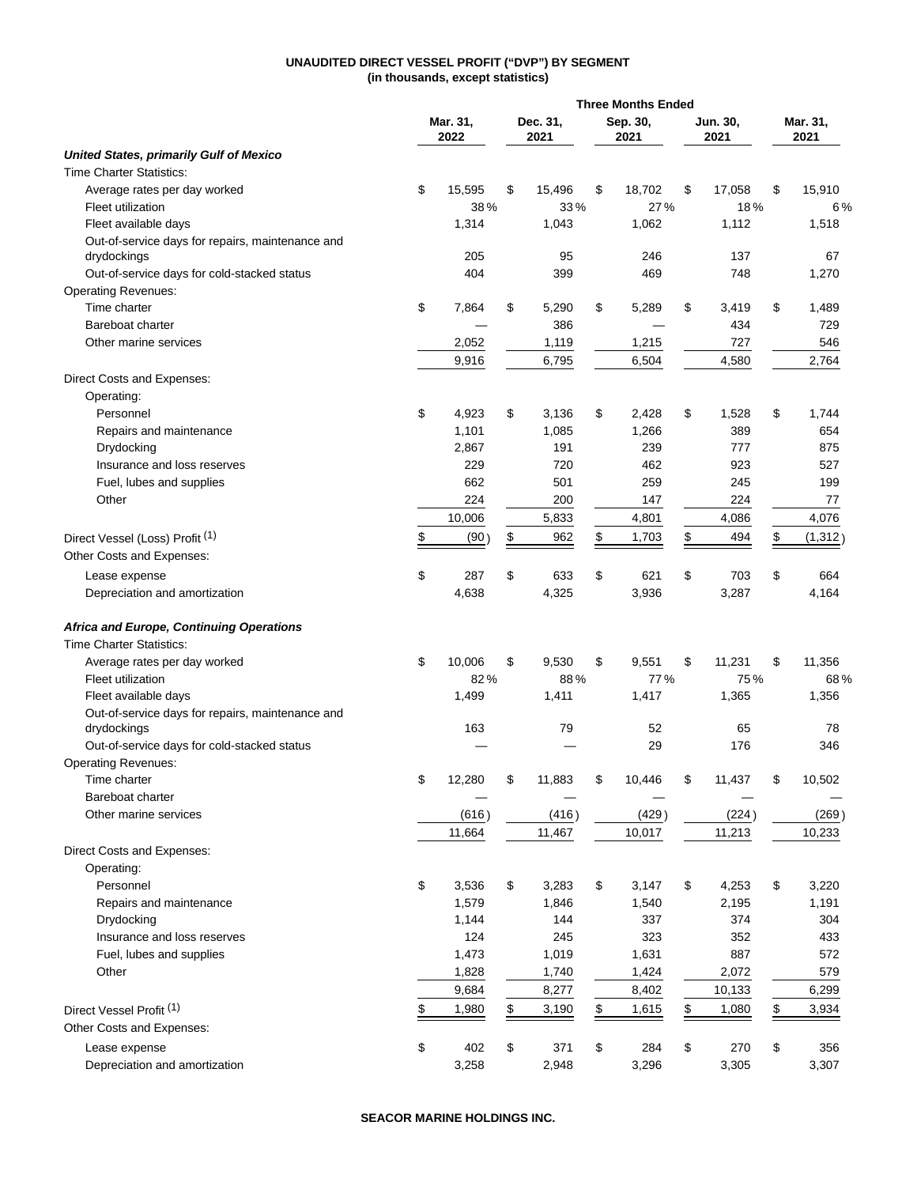# **UNAUDITED DIRECT VESSEL PROFIT ("DVP") BY SEGMENT (in thousands, except statistics)**

|                                                                             | <b>Three Months Ended</b> |    |                  |                  |        |                  |        |                  |
|-----------------------------------------------------------------------------|---------------------------|----|------------------|------------------|--------|------------------|--------|------------------|
|                                                                             | Mar. 31,<br>2022          |    | Dec. 31,<br>2021 | Sep. 30,<br>2021 |        | Jun. 30,<br>2021 |        | Mar. 31,<br>2021 |
| <b>United States, primarily Gulf of Mexico</b>                              |                           |    |                  |                  |        |                  |        |                  |
| <b>Time Charter Statistics:</b>                                             |                           |    |                  |                  |        |                  |        |                  |
| Average rates per day worked                                                | \$<br>15,595              | \$ | 15,496           | \$               | 18,702 | \$               | 17,058 | \$<br>15,910     |
| Fleet utilization                                                           | 38%                       |    | 33%              |                  | 27%    |                  | 18%    | 6%               |
| Fleet available days                                                        | 1,314                     |    | 1,043            |                  | 1,062  |                  | 1,112  | 1,518            |
| Out-of-service days for repairs, maintenance and                            |                           |    |                  |                  |        |                  |        |                  |
| drydockings                                                                 | 205                       |    | 95               |                  | 246    |                  | 137    | 67               |
| Out-of-service days for cold-stacked status                                 | 404                       |    | 399              |                  | 469    |                  | 748    | 1,270            |
| <b>Operating Revenues:</b>                                                  |                           |    |                  |                  |        |                  |        |                  |
| Time charter                                                                | \$<br>7,864               | \$ | 5,290            | \$               | 5,289  | \$               | 3,419  | \$<br>1,489      |
| Bareboat charter                                                            |                           |    | 386              |                  |        |                  | 434    | 729              |
| Other marine services                                                       | 2,052                     |    | 1,119            |                  | 1,215  |                  | 727    | 546              |
|                                                                             | 9,916                     |    | 6,795            |                  | 6,504  |                  | 4,580  | 2,764            |
| Direct Costs and Expenses:                                                  |                           |    |                  |                  |        |                  |        |                  |
| Operating:                                                                  |                           |    |                  |                  |        |                  |        |                  |
| Personnel                                                                   | \$<br>4,923               | \$ | 3,136            | \$               | 2,428  | \$               | 1,528  | \$<br>1,744      |
| Repairs and maintenance                                                     | 1,101                     |    | 1,085            |                  | 1,266  |                  | 389    | 654              |
| Drydocking                                                                  | 2,867                     |    | 191              |                  | 239    |                  | 777    | 875              |
| Insurance and loss reserves                                                 | 229                       |    | 720              |                  | 462    |                  | 923    | 527              |
| Fuel, lubes and supplies                                                    | 662                       |    | 501              |                  | 259    |                  | 245    | 199              |
| Other                                                                       | 224                       |    | 200              |                  | 147    |                  | 224    | 77               |
|                                                                             |                           |    |                  |                  |        |                  |        |                  |
|                                                                             | 10,006                    |    | 5,833            |                  | 4,801  |                  | 4,086  | 4,076            |
| Direct Vessel (Loss) Profit (1)                                             | \$<br>(90)                | \$ | 962              | \$               | 1,703  | \$               | 494    | \$<br>(1, 312)   |
| Other Costs and Expenses:                                                   |                           |    |                  |                  |        |                  |        |                  |
| Lease expense                                                               | \$<br>287                 | \$ | 633              | \$               | 621    | \$               | 703    | \$<br>664        |
| Depreciation and amortization                                               | 4,638                     |    | 4,325            |                  | 3,936  |                  | 3,287  | 4,164            |
| Africa and Europe, Continuing Operations<br><b>Time Charter Statistics:</b> |                           |    |                  |                  |        |                  |        |                  |
| Average rates per day worked                                                | \$<br>10,006              | \$ | 9,530            | \$               | 9,551  | \$               | 11,231 | \$<br>11,356     |
| Fleet utilization                                                           | 82%                       |    | 88%              |                  | 77%    |                  | 75%    | 68%              |
| Fleet available days                                                        | 1,499                     |    | 1,411            |                  | 1,417  |                  | 1,365  | 1,356            |
| Out-of-service days for repairs, maintenance and                            |                           |    |                  |                  |        |                  |        |                  |
| drydockings                                                                 | 163                       |    | 79               |                  | 52     |                  | 65     | 78               |
| Out-of-service days for cold-stacked status                                 |                           |    |                  |                  | 29     |                  | 176    | 346              |
| <b>Operating Revenues:</b>                                                  |                           |    |                  |                  |        |                  |        |                  |
| Time charter                                                                | \$<br>12,280              | \$ | 11,883           | \$               | 10,446 | \$               | 11,437 | \$<br>10,502     |
| Bareboat charter                                                            |                           |    |                  |                  |        |                  |        |                  |
| Other marine services                                                       | (616)                     |    | (416)            |                  | (429)  |                  | (224)  | (269)            |
|                                                                             |                           |    |                  |                  |        |                  |        |                  |
|                                                                             | 11,664                    |    | 11,467           |                  | 10,017 |                  | 11,213 | 10,233           |
| Direct Costs and Expenses:                                                  |                           |    |                  |                  |        |                  |        |                  |
| Operating:                                                                  |                           |    |                  |                  |        |                  |        |                  |
| Personnel                                                                   | \$<br>3,536               | \$ | 3,283            | \$               | 3,147  | \$               | 4,253  | \$<br>3,220      |
| Repairs and maintenance                                                     | 1,579                     |    | 1,846            |                  | 1,540  |                  | 2,195  | 1,191            |
| Drydocking                                                                  | 1,144                     |    | 144              |                  | 337    |                  | 374    | 304              |
| Insurance and loss reserves                                                 | 124                       |    | 245              |                  | 323    |                  | 352    | 433              |
| Fuel, lubes and supplies                                                    | 1,473                     |    | 1,019            |                  | 1,631  |                  | 887    | 572              |
| Other                                                                       | 1,828                     |    | 1,740            |                  | 1,424  |                  | 2,072  | 579              |
|                                                                             | 9,684                     |    | 8,277            |                  | 8,402  |                  | 10,133 | 6,299            |
| Direct Vessel Profit <sup>(1)</sup>                                         | \$<br>1,980               | \$ | 3,190            | \$               | 1,615  | \$               | 1,080  | \$<br>3,934      |
| Other Costs and Expenses:                                                   |                           |    |                  |                  |        |                  |        |                  |
| Lease expense                                                               | \$<br>402                 | \$ | 371              | \$               | 284    | \$               | 270    | \$<br>356        |
| Depreciation and amortization                                               | 3,258                     |    | 2,948            |                  | 3,296  |                  | 3,305  | 3,307            |
|                                                                             |                           |    |                  |                  |        |                  |        |                  |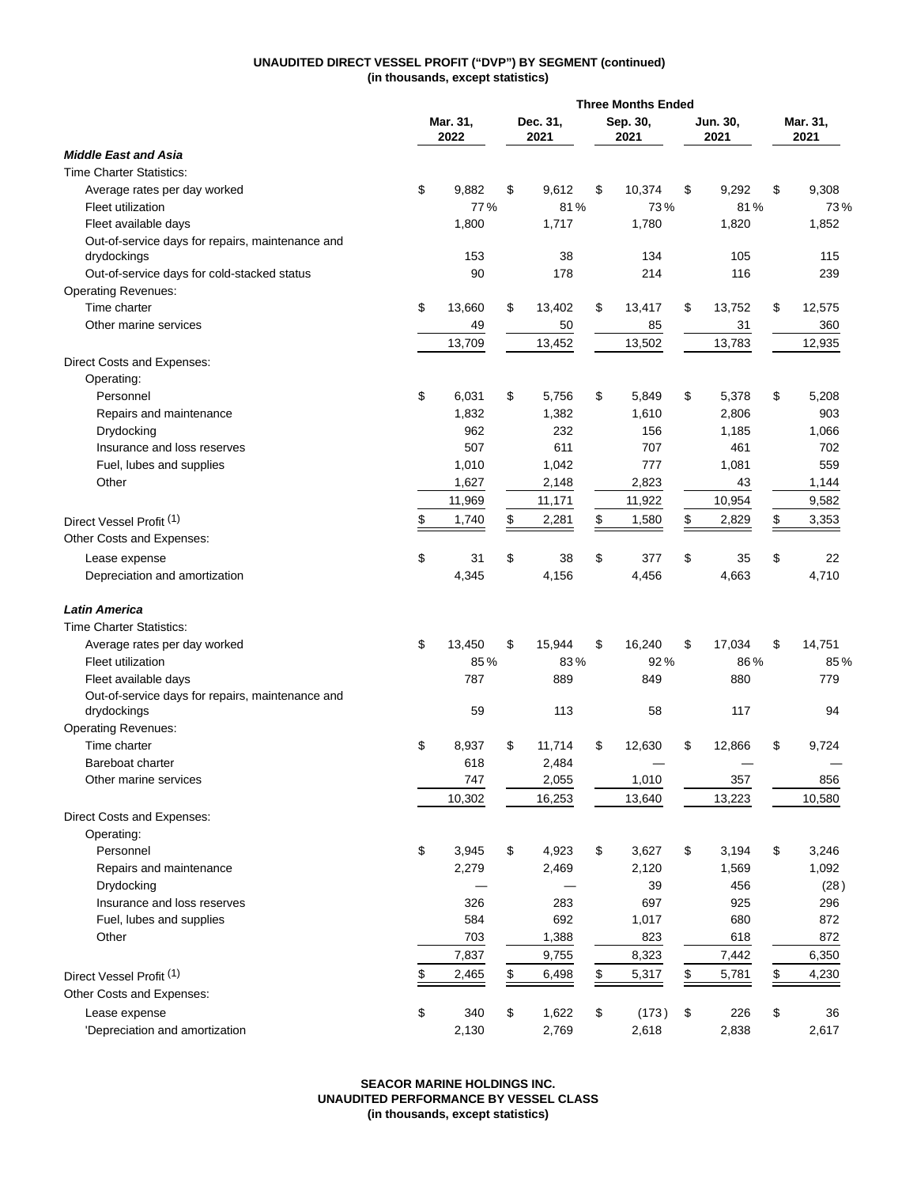# **UNAUDITED DIRECT VESSEL PROFIT ("DVP") BY SEGMENT (continued) (in thousands, except statistics)**

|                                                  |                  |                  | <b>Three Months Ended</b> |                  |    |                  |                  |
|--------------------------------------------------|------------------|------------------|---------------------------|------------------|----|------------------|------------------|
|                                                  | Mar. 31,<br>2022 | Dec. 31,<br>2021 |                           | Sep. 30,<br>2021 |    | Jun. 30,<br>2021 | Mar. 31,<br>2021 |
| <b>Middle East and Asia</b>                      |                  |                  |                           |                  |    |                  |                  |
| <b>Time Charter Statistics:</b>                  |                  |                  |                           |                  |    |                  |                  |
| Average rates per day worked                     | \$<br>9,882      | \$<br>9,612      | \$                        | 10,374           | \$ | 9,292            | \$<br>9,308      |
| Fleet utilization                                | 77%              | 81%              |                           | 73%              |    | 81%              | 73%              |
| Fleet available days                             | 1,800            | 1,717            |                           | 1,780            |    | 1,820            | 1,852            |
| Out-of-service days for repairs, maintenance and |                  |                  |                           |                  |    |                  |                  |
| drydockings                                      | 153              | 38               |                           | 134              |    | 105              | 115              |
| Out-of-service days for cold-stacked status      | 90               | 178              |                           | 214              |    | 116              | 239              |
| <b>Operating Revenues:</b>                       |                  |                  |                           |                  |    |                  |                  |
| Time charter                                     | \$<br>13,660     | \$<br>13,402     | \$                        | 13,417           | \$ | 13,752           | \$<br>12,575     |
| Other marine services                            | 49               | 50               |                           | 85               |    | 31               | 360              |
|                                                  | 13,709           | 13,452           |                           | 13,502           |    | 13,783           | 12,935           |
| Direct Costs and Expenses:                       |                  |                  |                           |                  |    |                  |                  |
| Operating:                                       |                  |                  |                           |                  |    |                  |                  |
| Personnel                                        | \$<br>6,031      | \$<br>5,756      | \$                        | 5,849            | \$ | 5,378            | \$<br>5,208      |
| Repairs and maintenance                          | 1,832            | 1,382            |                           | 1,610            |    | 2,806            | 903              |
| Drydocking                                       | 962              | 232              |                           | 156              |    | 1,185            | 1,066            |
| Insurance and loss reserves                      | 507              | 611              |                           | 707              |    | 461              | 702              |
|                                                  | 1,010            | 1,042            |                           | 777              |    | 1,081            | 559              |
| Fuel, lubes and supplies                         |                  |                  |                           |                  |    |                  |                  |
| Other                                            | 1,627            | 2,148            |                           | 2,823            |    | 43               | 1,144            |
|                                                  | 11,969           | 11,171           |                           | 11,922           |    | 10,954           | 9,582            |
| Direct Vessel Profit <sup>(1)</sup>              | \$<br>1,740      | \$<br>2,281      | \$                        | 1,580            | \$ | 2,829            | \$<br>3,353      |
| Other Costs and Expenses:                        |                  |                  |                           |                  |    |                  |                  |
| Lease expense                                    | \$<br>31         | \$<br>38         | \$                        | 377              | \$ | 35               | \$<br>22         |
| Depreciation and amortization                    | 4,345            | 4,156            |                           | 4,456            |    | 4,663            | 4,710            |
| <b>Latin America</b>                             |                  |                  |                           |                  |    |                  |                  |
| <b>Time Charter Statistics:</b>                  |                  |                  |                           |                  |    |                  |                  |
| Average rates per day worked                     | \$<br>13,450     | \$<br>15,944     | \$                        | 16,240           | \$ | 17,034           | \$<br>14,751     |
| Fleet utilization                                | 85%              | 83%              |                           | 92%              |    | 86%              | 85%              |
| Fleet available days                             | 787              | 889              |                           | 849              |    | 880              | 779              |
| Out-of-service days for repairs, maintenance and |                  |                  |                           |                  |    |                  |                  |
| drydockings                                      | 59               | 113              |                           | 58               |    | 117              | 94               |
| <b>Operating Revenues:</b>                       |                  |                  |                           |                  |    |                  |                  |
| Time charter                                     | \$<br>8,937      | \$<br>11,714     | \$                        | 12,630           | \$ | 12,866           | \$<br>9,724      |
| Bareboat charter                                 | 618              | 2,484            |                           |                  |    |                  |                  |
| Other marine services                            | 747              | 2,055            |                           | 1,010            |    | 357              | 856              |
|                                                  | 10,302           | 16,253           |                           | 13,640           |    | 13,223           | 10,580           |
| Direct Costs and Expenses:                       |                  |                  |                           |                  |    |                  |                  |
| Operating:                                       |                  |                  |                           |                  |    |                  |                  |
| Personnel                                        | \$<br>3,945      | \$               | \$                        |                  | \$ | 3,194            | \$               |
|                                                  |                  | 4,923            |                           | 3,627            |    |                  | 3,246            |
| Repairs and maintenance                          | 2,279            | 2,469            |                           | 2,120            |    | 1,569            | 1,092            |
| Drydocking                                       |                  |                  |                           | 39               |    | 456              | (28)             |
| Insurance and loss reserves                      | 326              | 283              |                           | 697              |    | 925              | 296              |
| Fuel, lubes and supplies                         | 584              | 692              |                           | 1,017            |    | 680              | 872              |
| Other                                            | 703              | 1,388            |                           | 823              |    | 618              | 872              |
|                                                  | 7,837            | 9,755            |                           | 8,323            |    | 7,442            | 6,350            |
| Direct Vessel Profit <sup>(1)</sup>              | \$<br>2,465      | \$<br>6,498      | \$                        | 5,317            | \$ | 5,781            | \$<br>4,230      |
| Other Costs and Expenses:                        |                  |                  |                           |                  |    |                  |                  |
| Lease expense                                    | \$<br>340        | \$<br>1,622      | \$                        | (173)            | \$ | 226              | \$<br>36         |
| 'Depreciation and amortization                   | 2,130            | 2,769            |                           | 2,618            |    | 2,838            | 2,617            |
|                                                  |                  |                  |                           |                  |    |                  |                  |

**SEACOR MARINE HOLDINGS INC. UNAUDITED PERFORMANCE BY VESSEL CLASS (in thousands, except statistics)**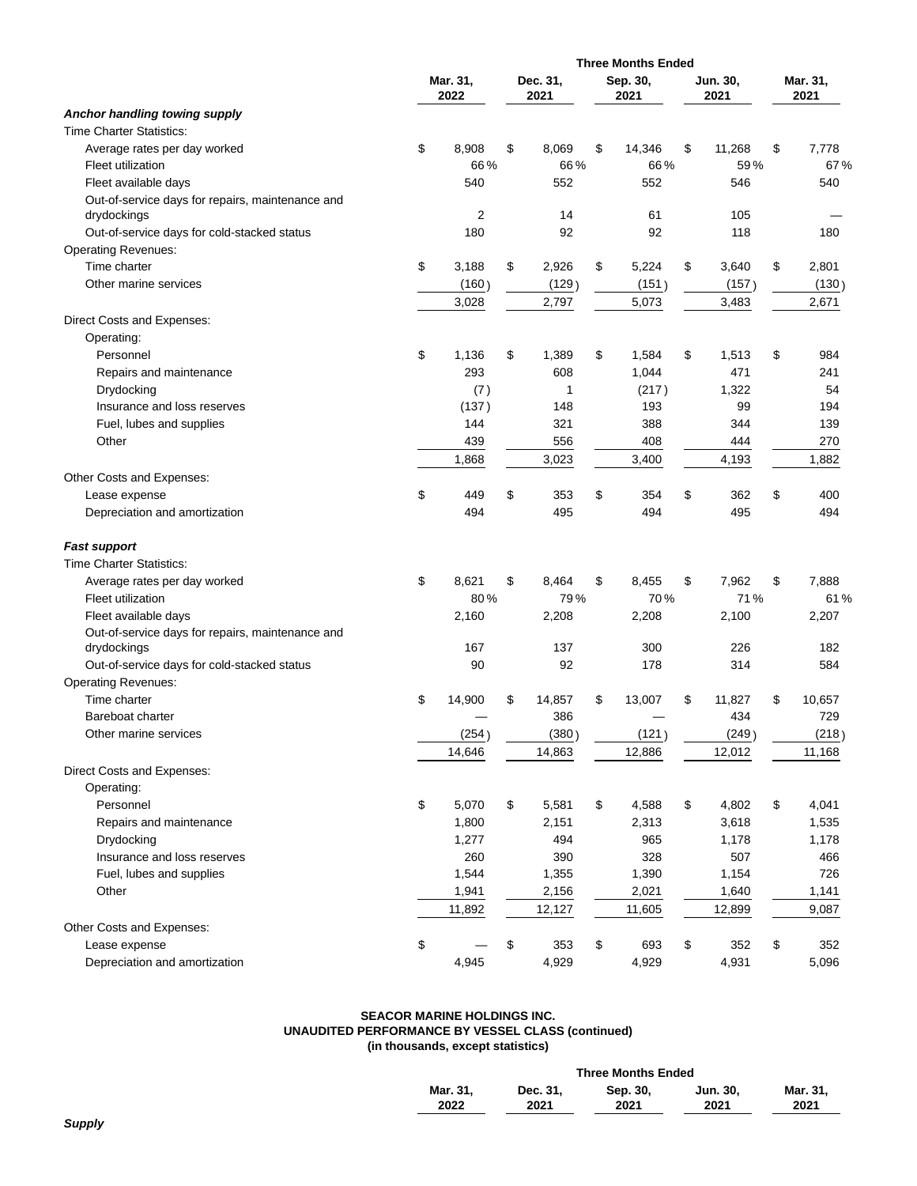|                                                  |                  |                  | <b>Three Months Ended</b> |                  |                  |
|--------------------------------------------------|------------------|------------------|---------------------------|------------------|------------------|
|                                                  | Mar. 31,<br>2022 | Dec. 31,<br>2021 | Sep. 30,<br>2021          | Jun. 30,<br>2021 | Mar. 31,<br>2021 |
| Anchor handling towing supply                    |                  |                  |                           |                  |                  |
| <b>Time Charter Statistics:</b>                  |                  |                  |                           |                  |                  |
| Average rates per day worked                     | \$<br>8,908      | \$<br>8,069      | \$<br>14,346              | \$<br>11,268     | \$<br>7.778      |
| <b>Fleet utilization</b>                         | 66%              | 66%              | 66%                       | 59%              | 67%              |
| Fleet available days                             | 540              | 552              | 552                       | 546              | 540              |
| Out-of-service days for repairs, maintenance and |                  |                  |                           |                  |                  |
| drydockings                                      | 2                | 14               | 61                        | 105              |                  |
| Out-of-service days for cold-stacked status      | 180              | 92               | 92                        | 118              | 180              |
| <b>Operating Revenues:</b>                       |                  |                  |                           |                  |                  |
| Time charter                                     | \$<br>3,188      | \$<br>2,926      | \$<br>5,224               | \$<br>3,640      | \$<br>2,801      |
| Other marine services                            | (160)            | (129)            | (151)                     | (157)            | (130)            |
|                                                  | 3,028            | 2,797            | 5,073                     | 3,483            | 2,671            |
| Direct Costs and Expenses:                       |                  |                  |                           |                  |                  |
| Operating:                                       |                  |                  |                           |                  |                  |
| Personnel                                        | \$<br>1,136      | \$<br>1,389      | \$<br>1,584               | \$<br>1,513      | \$<br>984        |
| Repairs and maintenance                          | 293              | 608              | 1,044                     | 471              | 241              |
| Drydocking                                       | (7)              | 1                | (217)                     | 1,322            | 54               |
| Insurance and loss reserves                      | (137)            | 148              | 193                       | 99               | 194              |
| Fuel, lubes and supplies                         | 144              | 321              | 388                       | 344              | 139              |
| Other                                            | 439              | 556              | 408                       | 444              | 270              |
|                                                  | 1,868            | 3,023            | 3,400                     | 4,193            | 1,882            |
| Other Costs and Expenses:                        |                  |                  |                           |                  |                  |
| Lease expense                                    | \$<br>449        | \$<br>353        | \$<br>354                 | \$<br>362        | \$<br>400        |
| Depreciation and amortization                    | 494              | 495              | 494                       | 495              | 494              |
| <b>Fast support</b>                              |                  |                  |                           |                  |                  |
| <b>Time Charter Statistics:</b>                  |                  |                  |                           |                  |                  |
| Average rates per day worked                     | \$<br>8,621      | \$<br>8,464      | \$<br>8,455               | \$<br>7,962      | \$<br>7,888      |
| <b>Fleet utilization</b>                         | 80%              | 79%              | 70%                       | 71%              | 61%              |
| Fleet available days                             | 2,160            | 2,208            | 2,208                     | 2,100            | 2,207            |
| Out-of-service days for repairs, maintenance and |                  |                  |                           |                  |                  |
| drydockings                                      | 167              | 137              | 300                       | 226              | 182              |
| Out-of-service days for cold-stacked status      | 90               | 92               | 178                       | 314              | 584              |
| <b>Operating Revenues:</b>                       |                  |                  |                           |                  |                  |
| Time charter                                     | \$<br>14,900     | \$<br>14,857     | \$<br>13,007              | \$<br>11,827     | \$<br>10,657     |
| Bareboat charter                                 |                  | 386              |                           | 434              | 729              |
| Other marine services                            | (254)            | (380)            | (121)                     | (249)            | (218)            |
|                                                  | 14,646           | 14,863           | 12,886                    | 12,012           | 11,168           |
| Direct Costs and Expenses:                       |                  |                  |                           |                  |                  |
| Operating:                                       |                  |                  |                           |                  |                  |
| Personnel                                        | \$<br>5,070      | \$<br>5,581      | \$<br>4,588               | \$<br>4,802      | \$<br>4,041      |
| Repairs and maintenance                          | 1,800            | 2,151            | 2,313                     | 3,618            | 1,535            |
| Drydocking                                       | 1,277            | 494              | 965                       | 1,178            | 1,178            |
| Insurance and loss reserves                      | 260              | 390              | 328                       | 507              | 466              |
| Fuel, lubes and supplies                         | 1,544            | 1,355            | 1,390                     | 1,154            | 726              |
| Other                                            | 1,941            | 2,156            | 2,021                     | 1,640            | 1,141            |
|                                                  | 11,892           | 12,127           | 11,605                    | 12,899           | 9,087            |
| Other Costs and Expenses:                        |                  |                  |                           |                  |                  |
| Lease expense                                    | \$               | \$<br>353        | \$<br>693                 | \$<br>352        | \$<br>352        |
| Depreciation and amortization                    | 4,945            | 4,929            | 4,929                     | 4,931            | 5,096            |
|                                                  |                  |                  |                           |                  |                  |

# **SEACOR MARINE HOLDINGS INC. UNAUDITED PERFORMANCE BY VESSEL CLASS (continued) (in thousands, except statistics)**

|          |          | <b>Three Months Ended</b> |          |          |
|----------|----------|---------------------------|----------|----------|
| Mar. 31. | Dec. 31. | Sep. 30,                  | Jun. 30. | Mar. 31. |
| 2022     | 2021     | 2021                      | 2021     | 2021     |
|          |          |                           |          |          |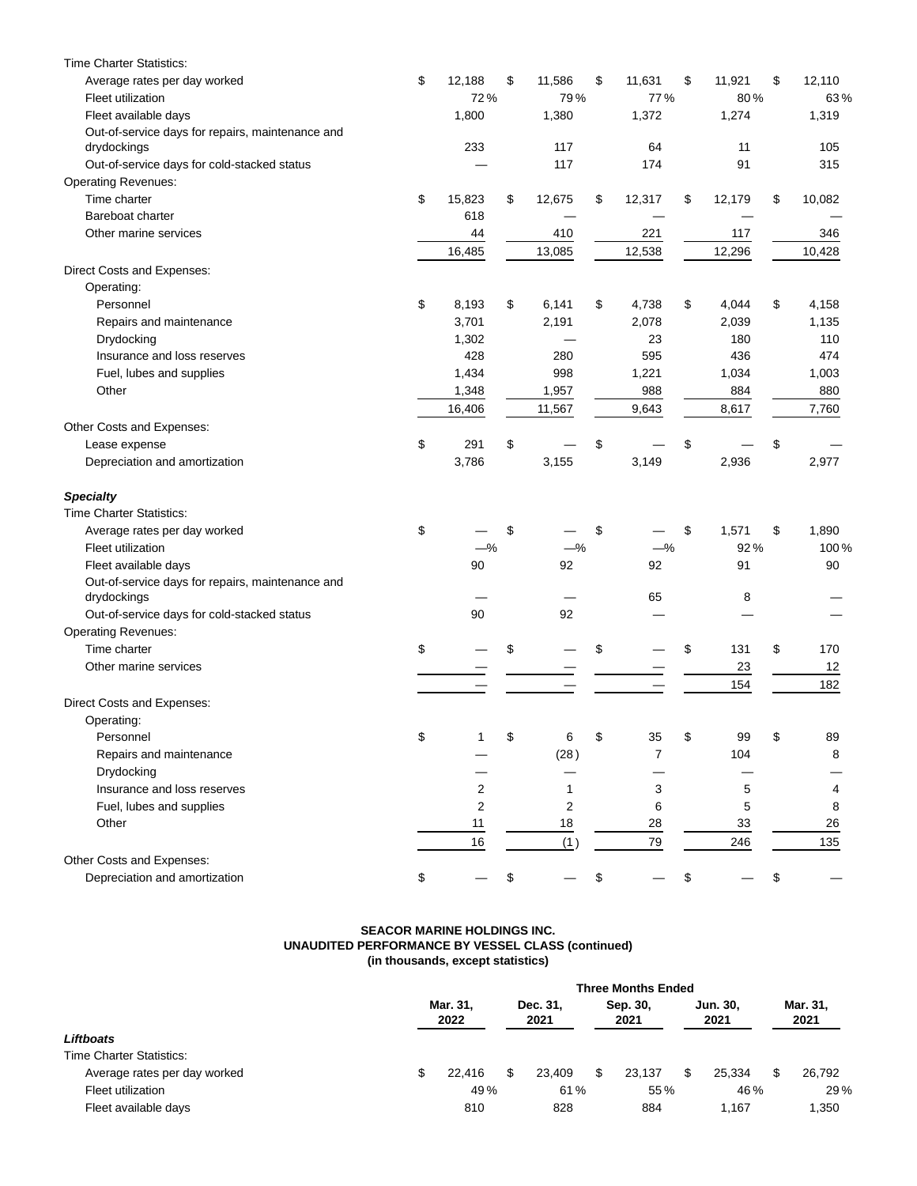| <b>Time Charter Statistics:</b>                  |                |                |              |              |              |
|--------------------------------------------------|----------------|----------------|--------------|--------------|--------------|
| Average rates per day worked                     | \$<br>12,188   | \$<br>11,586   | \$<br>11,631 | \$<br>11,921 | \$<br>12,110 |
| Fleet utilization                                | 72%            | 79%            | 77%          | 80%          | 63%          |
| Fleet available days                             | 1,800          | 1,380          | 1,372        | 1,274        | 1,319        |
| Out-of-service days for repairs, maintenance and |                |                |              |              |              |
| drydockings                                      | 233            | 117            | 64           | 11           | 105          |
| Out-of-service days for cold-stacked status      |                | 117            | 174          | 91           | 315          |
| <b>Operating Revenues:</b>                       |                |                |              |              |              |
| Time charter                                     | \$<br>15,823   | \$<br>12,675   | \$<br>12,317 | \$<br>12,179 | \$<br>10,082 |
| Bareboat charter                                 | 618            |                |              |              |              |
| Other marine services                            | 44             | 410            | 221          | 117          | 346          |
|                                                  | 16,485         | 13,085         | 12,538       | 12,296       | 10,428       |
| Direct Costs and Expenses:                       |                |                |              |              |              |
| Operating:                                       |                |                |              |              |              |
| Personnel                                        | \$<br>8,193    | \$<br>6,141    | \$<br>4,738  | \$<br>4,044  | \$<br>4,158  |
| Repairs and maintenance                          | 3,701          | 2,191          | 2,078        | 2,039        | 1,135        |
| Drydocking                                       | 1,302          |                | 23           | 180          | 110          |
| Insurance and loss reserves                      | 428            | 280            | 595          | 436          | 474          |
| Fuel, lubes and supplies                         | 1,434          | 998            | 1,221        | 1,034        | 1,003        |
| Other                                            | 1,348          | 1,957          | 988          | 884          | 880          |
|                                                  | 16,406         | 11,567         | 9,643        | 8,617        | 7,760        |
| Other Costs and Expenses:                        |                |                |              |              |              |
| Lease expense                                    | \$<br>291      | \$             | \$           | \$           | \$           |
| Depreciation and amortization                    | 3,786          | 3,155          | 3,149        | 2,936        | 2,977        |
| <b>Specialty</b>                                 |                |                |              |              |              |
| <b>Time Charter Statistics:</b>                  |                |                |              |              |              |
| Average rates per day worked                     | \$             | \$             | \$           | \$<br>1,571  | \$<br>1,890  |
| Fleet utilization                                | $-\%$          | $-\%$          | $-$ %        | 92%          | 100%         |
| Fleet available days                             | 90             | 92             | 92           | 91           | 90           |
| Out-of-service days for repairs, maintenance and |                |                |              |              |              |
| drydockings                                      |                |                | 65           | 8            |              |
| Out-of-service days for cold-stacked status      | 90             | 92             |              |              |              |
| <b>Operating Revenues:</b>                       |                |                |              |              |              |
| Time charter                                     | \$             | \$             | \$           | \$<br>131    | \$<br>170    |
| Other marine services                            |                |                |              | 23           | 12           |
|                                                  |                |                |              | 154          | 182          |
| Direct Costs and Expenses:                       |                |                |              |              |              |
| Operating:                                       |                |                |              |              |              |
| Personnel                                        | \$<br>1        | \$<br>6        | \$<br>35     | \$<br>99     | \$<br>89     |
| Repairs and maintenance                          |                | (28)           | 7            | 104          | 8            |
| Drydocking                                       |                |                |              |              |              |
| Insurance and loss reserves                      | $\overline{2}$ | 1              | 3            | 5            | 4            |
| Fuel, lubes and supplies                         | $\overline{2}$ | $\overline{2}$ | 6            | 5            | 8            |
| Other                                            | 11             | 18             | 28           | 33           | 26           |
|                                                  | 16             | (1)            | 79           | 246          | 135          |
| Other Costs and Expenses:                        |                |                |              |              |              |
| Depreciation and amortization                    | \$             | \$             | \$           | \$           | \$           |
|                                                  |                |                |              |              |              |

#### **SEACOR MARINE HOLDINGS INC. UNAUDITED PERFORMANCE BY VESSEL CLASS (continued) (in thousands, except statistics)**

|                                 | <b>Three Months Ended</b> |                  |                  |        |   |                  |                  |        |  |                  |  |  |  |
|---------------------------------|---------------------------|------------------|------------------|--------|---|------------------|------------------|--------|--|------------------|--|--|--|
|                                 |                           | Mar. 31.<br>2022 | Dec. 31.<br>2021 |        |   | Sep. 30,<br>2021 | Jun. 30.<br>2021 |        |  | Mar. 31,<br>2021 |  |  |  |
| Liftboats                       |                           |                  |                  |        |   |                  |                  |        |  |                  |  |  |  |
| <b>Time Charter Statistics:</b> |                           |                  |                  |        |   |                  |                  |        |  |                  |  |  |  |
| Average rates per day worked    | \$.                       | 22.416           | \$               | 23.409 | S | 23.137           |                  | 25.334 |  | 26.792           |  |  |  |
| Fleet utilization               |                           | 49%              |                  | 61%    |   | 55%              |                  | 46%    |  | 29%              |  |  |  |
| Fleet available days            |                           | 810              |                  | 828    |   | 884              |                  | 1.167  |  | 1,350            |  |  |  |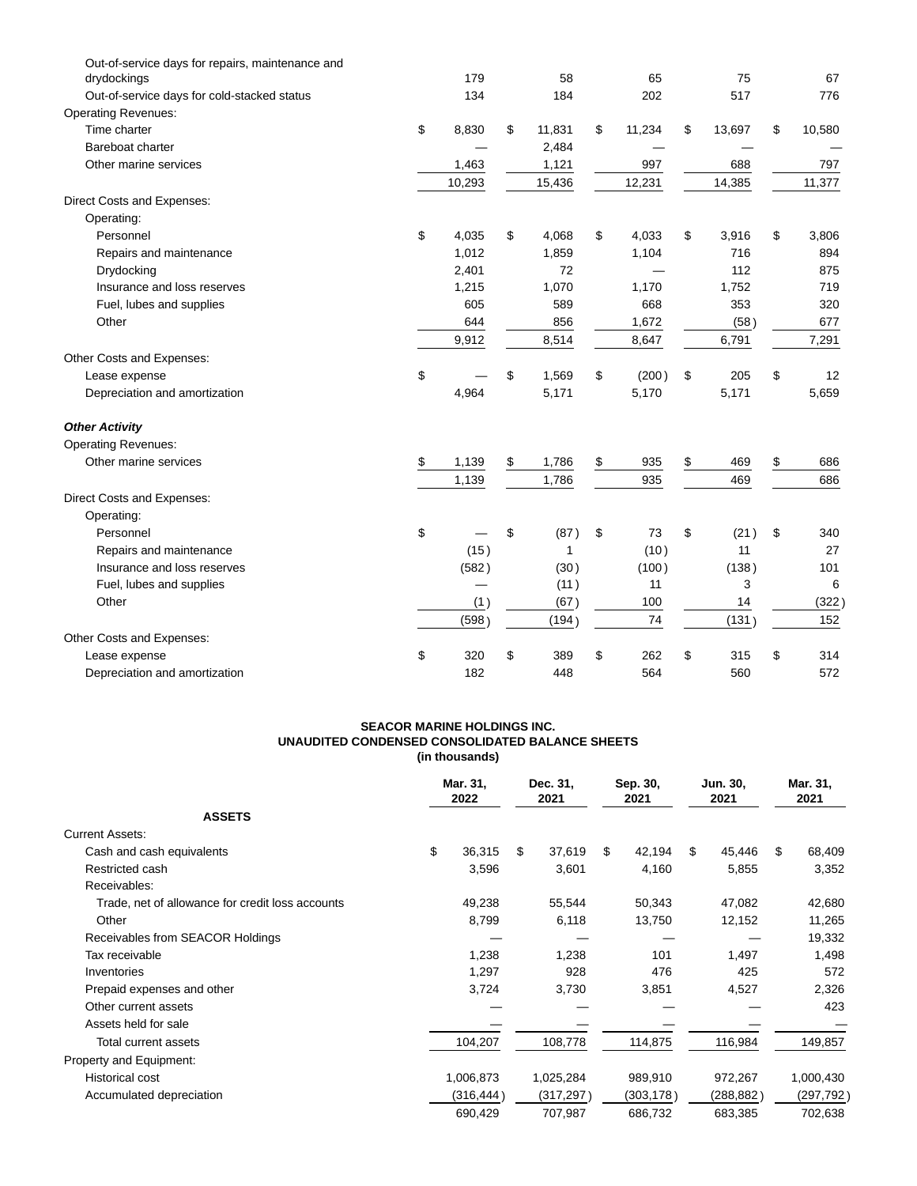| Out-of-service days for repairs, maintenance and<br>drydockings | 179         | 58           | 65           | 75           | 67           |
|-----------------------------------------------------------------|-------------|--------------|--------------|--------------|--------------|
| Out-of-service days for cold-stacked status                     | 134         | 184          | 202          | 517          | 776          |
| <b>Operating Revenues:</b>                                      |             |              |              |              |              |
| Time charter                                                    | \$<br>8,830 | \$<br>11,831 | \$<br>11,234 | \$<br>13,697 | \$<br>10,580 |
| Bareboat charter                                                |             | 2,484        |              |              |              |
| Other marine services                                           | 1,463       | 1,121        | 997          | 688          | 797          |
|                                                                 | 10,293      | 15,436       | 12,231       | 14,385       | 11,377       |
| Direct Costs and Expenses:                                      |             |              |              |              |              |
| Operating:                                                      |             |              |              |              |              |
| Personnel                                                       | \$<br>4,035 | \$<br>4,068  | \$<br>4,033  | \$<br>3,916  | \$<br>3,806  |
| Repairs and maintenance                                         | 1,012       | 1,859        | 1,104        | 716          | 894          |
| Drydocking                                                      | 2,401       | 72           |              | 112          | 875          |
| Insurance and loss reserves                                     | 1,215       | 1,070        | 1,170        | 1,752        | 719          |
| Fuel, lubes and supplies                                        | 605         | 589          | 668          | 353          | 320          |
| Other                                                           | 644         | 856          | 1,672        | (58)         | 677          |
|                                                                 | 9,912       | 8,514        | 8,647        | 6,791        | 7,291        |
| Other Costs and Expenses:                                       |             |              |              |              |              |
| Lease expense                                                   | \$          | \$<br>1,569  | \$<br>(200)  | \$<br>205    | \$<br>12     |
| Depreciation and amortization                                   | 4,964       | 5,171        | 5,170        | 5,171        | 5,659        |
| <b>Other Activity</b>                                           |             |              |              |              |              |
| <b>Operating Revenues:</b>                                      |             |              |              |              |              |
| Other marine services                                           | \$<br>1,139 | \$<br>1,786  | \$<br>935    | \$<br>469    | \$<br>686    |
|                                                                 | 1,139       | 1,786        | 935          | 469          | 686          |
| Direct Costs and Expenses:                                      |             |              |              |              |              |
| Operating:                                                      |             |              |              |              |              |
| Personnel                                                       | \$          | \$<br>(87)   | \$<br>73     | \$<br>(21)   | \$<br>340    |
| Repairs and maintenance                                         | (15)        | 1            | (10)         | 11           | 27           |
| Insurance and loss reserves                                     | (582)       | (30)         | (100)        | (138)        | 101          |
| Fuel, lubes and supplies                                        |             | (11)         | 11           | 3            | 6            |
| Other                                                           | (1)         | (67)         | 100          | 14           | (322)        |
|                                                                 | (598)       | (194)        | 74           | (131)        | 152          |
| Other Costs and Expenses:                                       |             |              |              |              |              |
| Lease expense                                                   | \$<br>320   | \$<br>389    | \$<br>262    | \$<br>315    | \$<br>314    |
| Depreciation and amortization                                   | 182         | 448          | 564          | 560          | 572          |

### **SEACOR MARINE HOLDINGS INC. UNAUDITED CONDENSED CONSOLIDATED BALANCE SHEETS (in thousands)**

|                                                  | Mar. 31,<br>2022 |    | Dec. 31,<br>2021 |    | Sep. 30,<br>2021 |    | Jun. 30,<br>2021 |    | Mar. 31,<br>2021 |
|--------------------------------------------------|------------------|----|------------------|----|------------------|----|------------------|----|------------------|
| <b>ASSETS</b>                                    |                  |    |                  |    |                  |    |                  |    |                  |
| <b>Current Assets:</b>                           |                  |    |                  |    |                  |    |                  |    |                  |
| Cash and cash equivalents                        | \$<br>36,315     | \$ | 37,619           | \$ | 42,194           | \$ | 45,446           | \$ | 68,409           |
| Restricted cash                                  | 3,596            |    | 3,601            |    | 4,160            |    | 5,855            |    | 3,352            |
| Receivables:                                     |                  |    |                  |    |                  |    |                  |    |                  |
| Trade, net of allowance for credit loss accounts | 49,238           |    | 55,544           |    | 50,343           |    | 47,082           |    | 42,680           |
| Other                                            | 8,799            |    | 6,118            |    | 13,750           |    | 12,152           |    | 11,265           |
| Receivables from SEACOR Holdings                 |                  |    |                  |    |                  |    |                  |    | 19,332           |
| Tax receivable                                   | 1,238            |    | 1,238            |    | 101              |    | 1,497            |    | 1,498            |
| Inventories                                      | 1,297            |    | 928              |    | 476              |    | 425              |    | 572              |
| Prepaid expenses and other                       | 3,724            |    | 3,730            |    | 3,851            |    | 4,527            |    | 2,326            |
| Other current assets                             |                  |    |                  |    |                  |    |                  |    | 423              |
| Assets held for sale                             |                  |    |                  |    |                  |    |                  |    |                  |
| Total current assets                             | 104,207          |    | 108,778          |    | 114,875          |    | 116,984          |    | 149,857          |
| Property and Equipment:                          |                  |    |                  |    |                  |    |                  |    |                  |
| <b>Historical cost</b>                           | 1,006,873        |    | 1,025,284        |    | 989,910          |    | 972,267          |    | 1,000,430        |
| Accumulated depreciation                         | (316,444)        |    | (317, 297)       |    | (303,178)        |    | (288, 882)       |    | (297, 792)       |
|                                                  | 690,429          |    | 707,987          |    | 686,732          |    | 683,385          |    | 702,638          |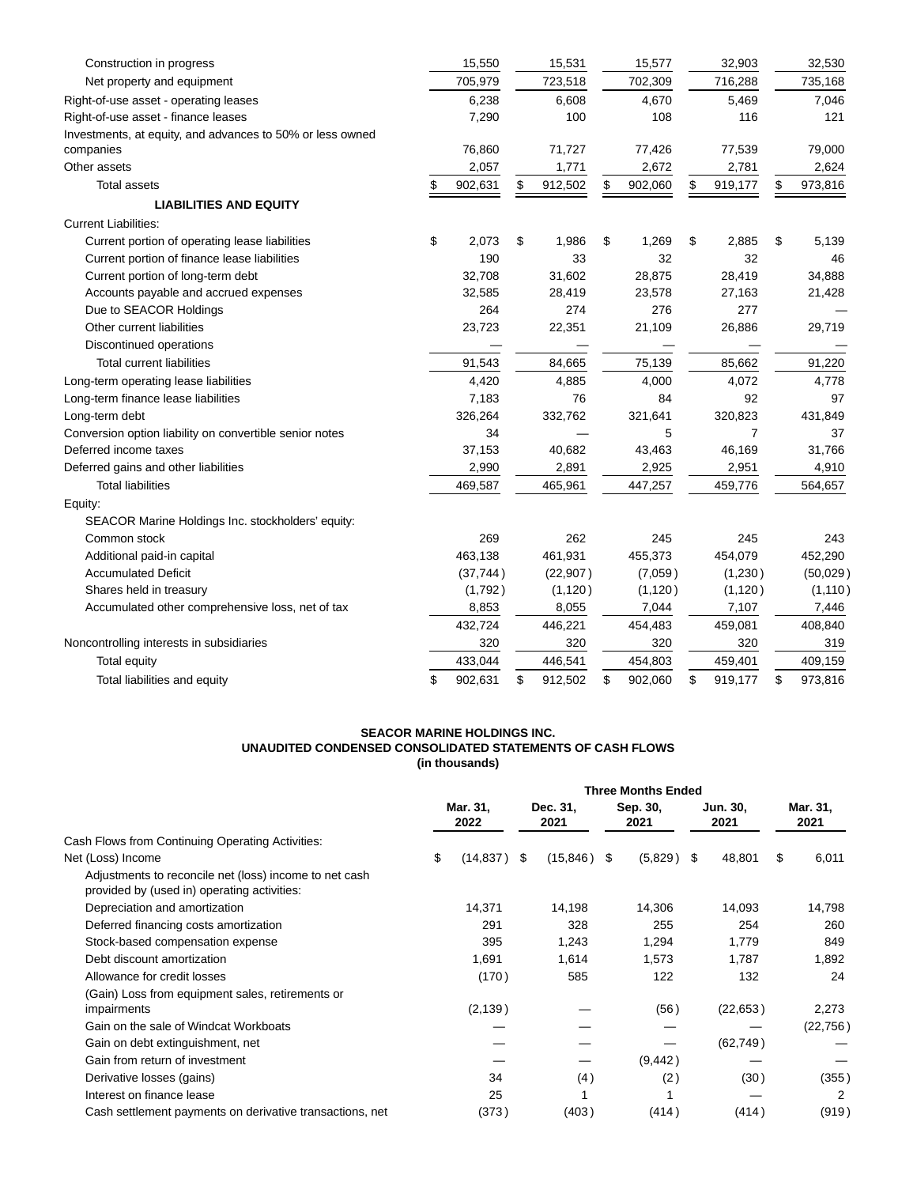| Construction in progress                                  | 15,550        | 15,531        | 15,577        | 32,903         | 32,530        |
|-----------------------------------------------------------|---------------|---------------|---------------|----------------|---------------|
| Net property and equipment                                | 705,979       | 723,518       | 702,309       | 716,288        | 735,168       |
| Right-of-use asset - operating leases                     | 6,238         | 6,608         | 4,670         | 5,469          | 7,046         |
| Right-of-use asset - finance leases                       | 7,290         | 100           | 108           | 116            | 121           |
| Investments, at equity, and advances to 50% or less owned |               |               |               |                |               |
| companies                                                 | 76,860        | 71,727        | 77,426        | 77,539         | 79,000        |
| Other assets                                              | 2,057         | 1,771         | 2,672         | 2,781          | 2,624         |
| <b>Total assets</b>                                       | \$<br>902,631 | \$<br>912,502 | \$<br>902,060 | \$<br>919,177  | \$<br>973,816 |
| <b>LIABILITIES AND EQUITY</b>                             |               |               |               |                |               |
| <b>Current Liabilities:</b>                               |               |               |               |                |               |
| Current portion of operating lease liabilities            | \$<br>2,073   | \$<br>1,986   | \$<br>1,269   | \$<br>2,885    | \$<br>5,139   |
| Current portion of finance lease liabilities              | 190           | 33            | 32            | 32             | 46            |
| Current portion of long-term debt                         | 32,708        | 31,602        | 28,875        | 28,419         | 34,888        |
| Accounts payable and accrued expenses                     | 32,585        | 28,419        | 23,578        | 27,163         | 21,428        |
| Due to SEACOR Holdings                                    | 264           | 274           | 276           | 277            |               |
| Other current liabilities                                 | 23,723        | 22,351        | 21,109        | 26,886         | 29,719        |
| Discontinued operations                                   |               |               |               |                |               |
| <b>Total current liabilities</b>                          | 91,543        | 84,665        | 75,139        | 85,662         | 91,220        |
| Long-term operating lease liabilities                     | 4,420         | 4,885         | 4,000         | 4,072          | 4,778         |
| Long-term finance lease liabilities                       | 7,183         | 76            | 84            | 92             | 97            |
| Long-term debt                                            | 326,264       | 332,762       | 321,641       | 320,823        | 431,849       |
| Conversion option liability on convertible senior notes   | 34            |               | 5             | $\overline{7}$ | 37            |
| Deferred income taxes                                     | 37,153        | 40,682        | 43,463        | 46,169         | 31,766        |
| Deferred gains and other liabilities                      | 2,990         | 2,891         | 2,925         | 2,951          | 4,910         |
| <b>Total liabilities</b>                                  | 469,587       | 465,961       | 447,257       | 459,776        | 564,657       |
| Equity:                                                   |               |               |               |                |               |
| SEACOR Marine Holdings Inc. stockholders' equity:         |               |               |               |                |               |
| Common stock                                              | 269           | 262           | 245           | 245            | 243           |
| Additional paid-in capital                                | 463,138       | 461,931       | 455,373       | 454,079        | 452,290       |
| <b>Accumulated Deficit</b>                                | (37, 744)     | (22, 907)     | (7,059)       | (1,230)        | (50,029)      |
| Shares held in treasury                                   | (1,792)       | (1, 120)      | (1, 120)      | (1, 120)       | (1, 110)      |
| Accumulated other comprehensive loss, net of tax          | 8,853         | 8,055         | 7,044         | 7,107          | 7,446         |
|                                                           | 432,724       | 446,221       | 454,483       | 459,081        | 408,840       |
| Noncontrolling interests in subsidiaries                  | 320           | 320           | 320           | 320            | 319           |
| Total equity                                              | 433,044       | 446,541       | 454,803       | 459,401        | 409,159       |
| Total liabilities and equity                              | \$<br>902,631 | \$<br>912,502 | \$<br>902,060 | \$<br>919,177  | \$<br>973,816 |

#### **SEACOR MARINE HOLDINGS INC. UNAUDITED CONDENSED CONSOLIDATED STATEMENTS OF CASH FLOWS (in thousands)**

|                                                                                                       | <b>Three Months Ended</b> |           |                  |               |                  |              |                  |           |                  |           |
|-------------------------------------------------------------------------------------------------------|---------------------------|-----------|------------------|---------------|------------------|--------------|------------------|-----------|------------------|-----------|
|                                                                                                       | Mar. 31,<br>2022          |           | Dec. 31,<br>2021 |               | Sep. 30,<br>2021 |              | Jun. 30,<br>2021 |           | Mar. 31,<br>2021 |           |
| Cash Flows from Continuing Operating Activities:                                                      |                           |           |                  |               |                  |              |                  |           |                  |           |
| Net (Loss) Income                                                                                     | \$                        | (14, 837) | -\$              | $(15,846)$ \$ |                  | $(5,829)$ \$ |                  | 48,801    | \$               | 6,011     |
| Adjustments to reconcile net (loss) income to net cash<br>provided by (used in) operating activities: |                           |           |                  |               |                  |              |                  |           |                  |           |
| Depreciation and amortization                                                                         |                           | 14,371    |                  | 14,198        |                  | 14,306       |                  | 14,093    |                  | 14,798    |
| Deferred financing costs amortization                                                                 |                           | 291       |                  | 328           |                  | 255          |                  | 254       |                  | 260       |
| Stock-based compensation expense                                                                      |                           | 395       |                  | 1,243         |                  | 1,294        |                  | 1,779     |                  | 849       |
| Debt discount amortization                                                                            |                           | 1,691     |                  | 1,614         |                  | 1,573        |                  | 1,787     |                  | 1,892     |
| Allowance for credit losses                                                                           |                           | (170)     |                  | 585           |                  | 122          |                  | 132       |                  | 24        |
| (Gain) Loss from equipment sales, retirements or                                                      |                           |           |                  |               |                  |              |                  |           |                  |           |
| impairments                                                                                           |                           | (2, 139)  |                  |               |                  | (56)         |                  | (22, 653) |                  | 2,273     |
| Gain on the sale of Windcat Workboats                                                                 |                           |           |                  |               |                  |              |                  |           |                  | (22, 756) |
| Gain on debt extinguishment, net                                                                      |                           |           |                  |               |                  |              |                  | (62, 749) |                  |           |
| Gain from return of investment                                                                        |                           |           |                  |               |                  | (9, 442)     |                  |           |                  |           |
| Derivative losses (gains)                                                                             |                           | 34        |                  | (4)           |                  | (2)          |                  | (30)      |                  | (355)     |
| Interest on finance lease                                                                             |                           | 25        |                  |               |                  |              |                  |           |                  | 2         |
| Cash settlement payments on derivative transactions, net                                              |                           | (373)     |                  | (403)         |                  | (414)        |                  | (414)     |                  | (919)     |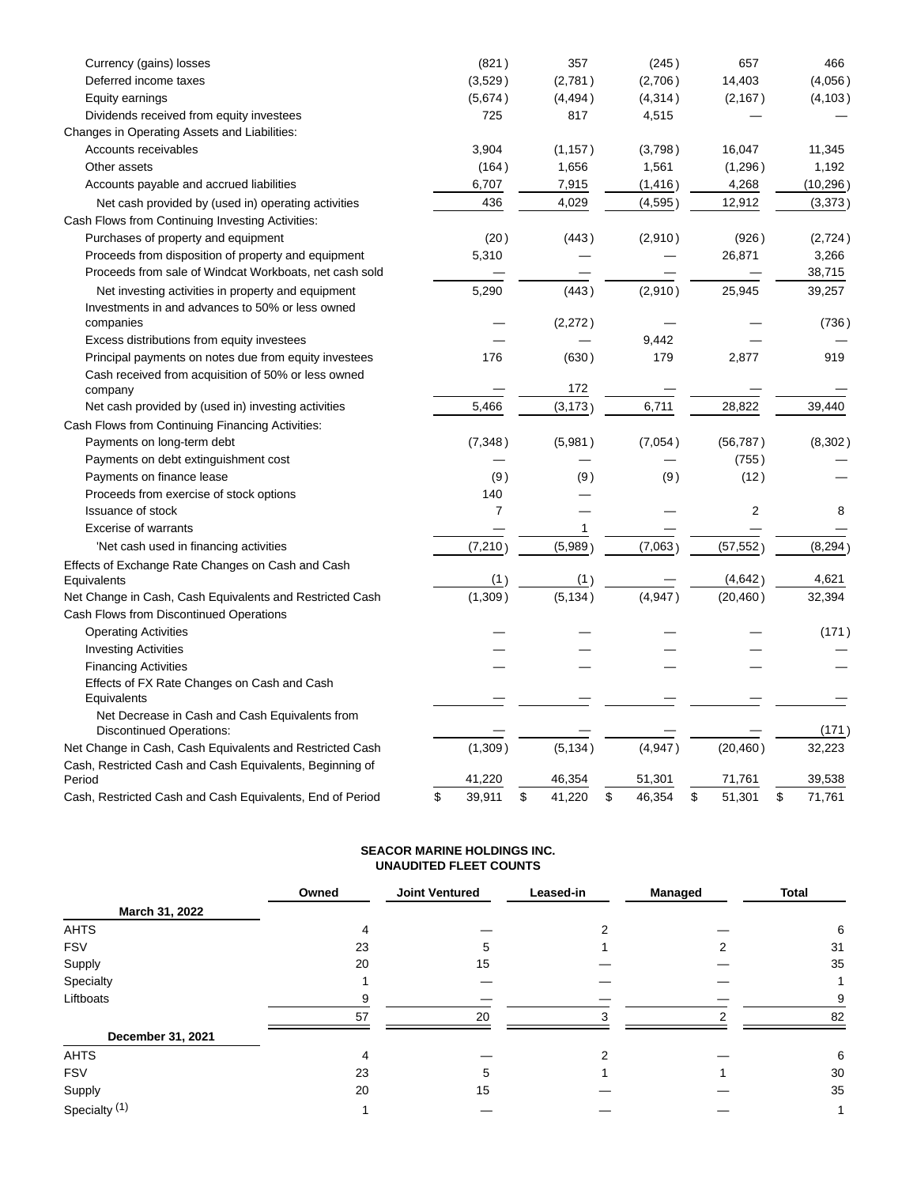| Currency (gains) losses                                            | (821)          | 357          | (245)        | 657            | 466          |
|--------------------------------------------------------------------|----------------|--------------|--------------|----------------|--------------|
| Deferred income taxes                                              | (3,529)        | (2,781)      | (2,706)      | 14,403         | (4.056)      |
| Equity earnings                                                    | (5,674)        | (4, 494)     | (4, 314)     | (2, 167)       | (4, 103)     |
| Dividends received from equity investees                           | 725            | 817          | 4,515        |                |              |
| Changes in Operating Assets and Liabilities:                       |                |              |              |                |              |
| Accounts receivables                                               | 3,904          | (1, 157)     | (3,798)      | 16,047         | 11,345       |
| Other assets                                                       | (164)          | 1,656        | 1,561        | (1,296)        | 1,192        |
| Accounts payable and accrued liabilities                           | 6,707          | 7,915        | (1, 416)     | 4,268          | (10, 296)    |
| Net cash provided by (used in) operating activities                | 436            | 4,029        | (4,595)      | 12,912         | (3,373)      |
| Cash Flows from Continuing Investing Activities:                   |                |              |              |                |              |
| Purchases of property and equipment                                | (20)           | (443)        | (2,910)      | (926)          | (2,724)      |
| Proceeds from disposition of property and equipment                | 5,310          |              |              | 26,871         | 3,266        |
| Proceeds from sale of Windcat Workboats, net cash sold             |                |              |              |                | 38,715       |
| Net investing activities in property and equipment                 | 5,290          | (443)        | (2,910)      | 25,945         | 39,257       |
| Investments in and advances to 50% or less owned                   |                |              |              |                |              |
| companies                                                          |                | (2,272)      |              |                | (736)        |
| Excess distributions from equity investees                         |                |              | 9,442        |                |              |
| Principal payments on notes due from equity investees              | 176            | (630)        | 179          | 2,877          | 919          |
| Cash received from acquisition of 50% or less owned                |                |              |              |                |              |
| company                                                            |                | 172          |              |                |              |
| Net cash provided by (used in) investing activities                | 5,466          | (3, 173)     | 6,711        | 28,822         | 39,440       |
| Cash Flows from Continuing Financing Activities:                   |                |              |              |                |              |
| Payments on long-term debt                                         | (7, 348)       | (5,981)      | (7,054)      | (56, 787)      | (8,302)      |
| Payments on debt extinguishment cost                               |                |              |              | (755)          |              |
| Payments on finance lease                                          | (9)            | (9)          | (9)          | (12)           |              |
| Proceeds from exercise of stock options                            | 140            |              |              |                |              |
| <b>Issuance of stock</b>                                           | $\overline{7}$ |              |              | $\overline{2}$ | 8            |
| <b>Excerise of warrants</b>                                        |                | 1            |              |                |              |
| 'Net cash used in financing activities                             | (7, 210)       | (5,989)      | (7,063)      | (57, 552)      | (8, 294)     |
| Effects of Exchange Rate Changes on Cash and Cash                  |                |              |              |                |              |
| Equivalents                                                        | (1)            | (1)          |              | (4,642)        | 4,621        |
| Net Change in Cash, Cash Equivalents and Restricted Cash           | (1,309)        | (5, 134)     | (4,947)      | (20, 460)      | 32,394       |
| Cash Flows from Discontinued Operations                            |                |              |              |                |              |
| <b>Operating Activities</b>                                        |                |              |              |                | (171)        |
| <b>Investing Activities</b>                                        |                |              |              |                |              |
| <b>Financing Activities</b>                                        |                |              |              |                |              |
| Effects of FX Rate Changes on Cash and Cash                        |                |              |              |                |              |
| Equivalents                                                        |                |              |              |                |              |
| Net Decrease in Cash and Cash Equivalents from                     |                |              |              |                |              |
| <b>Discontinued Operations:</b>                                    |                |              |              |                | (171)        |
| Net Change in Cash, Cash Equivalents and Restricted Cash           | (1,309)        | (5, 134)     | (4, 947)     | (20, 460)      | 32,223       |
| Cash, Restricted Cash and Cash Equivalents, Beginning of<br>Period | 41,220         | 46,354       | 51,301       | 71,761         | 39,538       |
| Cash, Restricted Cash and Cash Equivalents, End of Period          | \$<br>39,911   | \$<br>41,220 | \$<br>46,354 | \$<br>51,301   | \$<br>71,761 |
|                                                                    |                |              |              |                |              |

# **SEACOR MARINE HOLDINGS INC. UNAUDITED FLEET COUNTS**

|                          | Owned | <b>Joint Ventured</b> | Leased-in | <b>Managed</b> | <b>Total</b> |  |
|--------------------------|-------|-----------------------|-----------|----------------|--------------|--|
| March 31, 2022           |       |                       |           |                |              |  |
| <b>AHTS</b>              | 4     |                       |           |                | 6            |  |
| <b>FSV</b>               | 23    | 5                     |           |                | 31           |  |
| Supply                   | 20    | 15                    |           |                | 35           |  |
| Specialty                |       |                       |           |                |              |  |
| Liftboats                | я     |                       |           |                | 9            |  |
|                          | 57    | 20                    | ٩         | ົ              | 82           |  |
| December 31, 2021        |       |                       |           |                |              |  |
| <b>AHTS</b>              | 4     |                       |           |                | 6            |  |
| <b>FSV</b>               | 23    | 5                     |           |                | 30           |  |
| Supply                   | 20    | 15                    |           |                | 35           |  |
| Specialty <sup>(1)</sup> |       |                       |           |                |              |  |